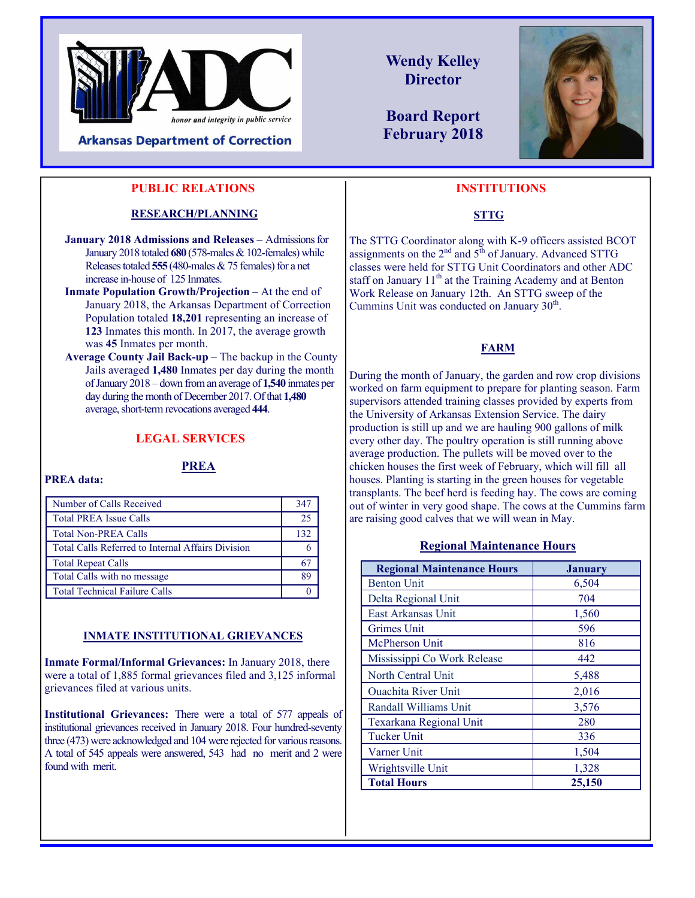

### **PUBLIC RELATIONS**

#### **RESEARCH/PLANNING**

- **January 2018 Admissions and Releases** Admissions for January 2018 totaled **680** (578-males & 102-females) while Releases totaled **555** (480-males & 75 females) for a net increase in-house of 125 Inmates.
- **Inmate Population Growth/Projection** At the end of January 2018, the Arkansas Department of Correction Population totaled **18,201** representing an increase of **123** Inmates this month. In 2017, the average growth was **45** Inmates per month.
- **Average County Jail Back-up** The backup in the County Jails averaged **1,480** Inmates per day during the month of January 2018 – down from an average of **1,540** inmates per day during the month of December 2017. Of that **1,480**  average, short-term revocations averaged **444**.

#### **LEGAL SERVICES**

 **PREA** 

#### **PREA data:**

| Number of Calls Received                          | 347  |
|---------------------------------------------------|------|
| <b>Total PREA Issue Calls</b>                     | 25   |
| <b>Total Non-PREA Calls</b>                       | 132. |
| Total Calls Referred to Internal Affairs Division |      |
| <b>Total Repeat Calls</b>                         |      |
| Total Calls with no message                       | 89   |
| <b>Total Technical Failure Calls</b>              |      |

#### **INMATE INSTITUTIONAL GRIEVANCES**

**Inmate Formal/Informal Grievances:** In January 2018, there were a total of 1,885 formal grievances filed and 3,125 informal grievances filed at various units.

**Institutional Grievances:** There were a total of 577 appeals of institutional grievances received in January 2018. Four hundred-seventy three (473) were acknowledged and 104 were rejected for various reasons. A total of 545 appeals were answered, 543 had no merit and 2 were found with merit.

**Wendy Kelley Director** 

**Board Report February 2018**



#### **INSTITUTIONS**

#### **STTG**

The STTG Coordinator along with K-9 officers assisted BCOT assignments on the  $2<sup>nd</sup>$  and  $5<sup>th</sup>$  of January. Advanced STTG classes were held for STTG Unit Coordinators and other ADC staff on January  $11<sup>th</sup>$  at the Training Academy and at Benton Work Release on January 12th. An STTG sweep of the Cummins Unit was conducted on January  $30<sup>th</sup>$ .

#### **FARM**

During the month of January, the garden and row crop divisions worked on farm equipment to prepare for planting season. Farm supervisors attended training classes provided by experts from the University of Arkansas Extension Service. The dairy production is still up and we are hauling 900 gallons of milk every other day. The poultry operation is still running above average production. The pullets will be moved over to the chicken houses the first week of February, which will fill all houses. Planting is starting in the green houses for vegetable transplants. The beef herd is feeding hay. The cows are coming out of winter in very good shape. The cows at the Cummins farm are raising good calves that we will wean in May.

#### **Regional Maintenance Hours**

| <b>Regional Maintenance Hours</b> | <b>January</b> |
|-----------------------------------|----------------|
| <b>Benton Unit</b>                | 6,504          |
| Delta Regional Unit               | 704            |
| East Arkansas Unit                | 1,560          |
| <b>Grimes Unit</b>                | 596            |
| McPherson Unit                    | 816            |
| Mississippi Co Work Release       | 442            |
| North Central Unit                | 5,488          |
| Quachita River Unit               | 2,016          |
| Randall Williams Unit             | 3,576          |
| Texarkana Regional Unit           | 280            |
| <b>Tucker Unit</b>                | 336            |
| Varner Unit                       | 1,504          |
| Wrightsville Unit                 | 1,328          |
| <b>Total Hours</b>                | 25,150         |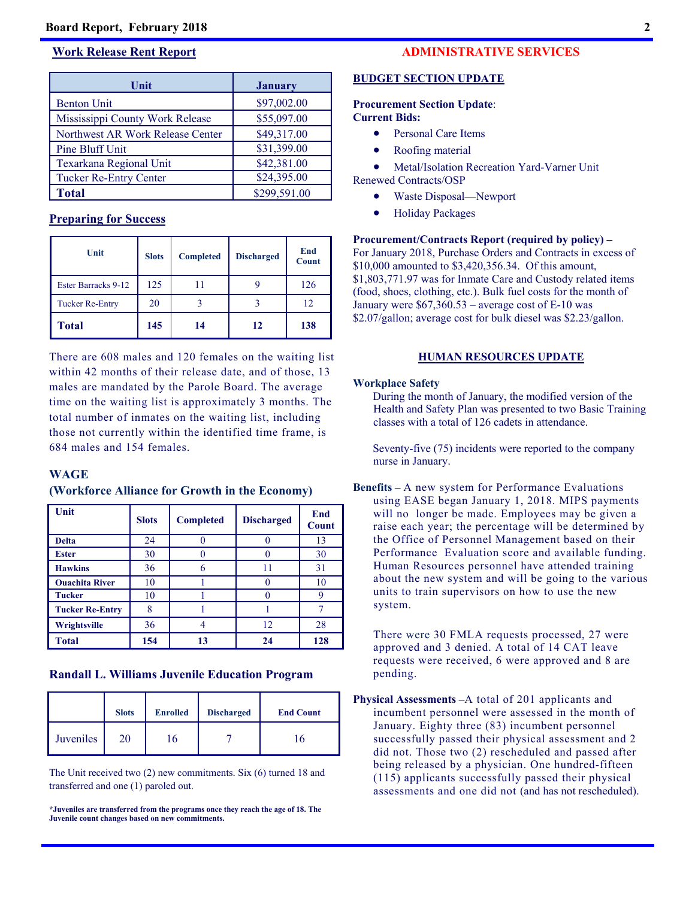#### **Work Release Rent Report**

| Unit                             | <b>January</b> |
|----------------------------------|----------------|
| <b>Benton Unit</b>               | \$97,002.00    |
| Mississippi County Work Release  | \$55,097.00    |
| Northwest AR Work Release Center | \$49,317.00    |
| Pine Bluff Unit                  | \$31,399.00    |
| Texarkana Regional Unit          | \$42,381.00    |
| <b>Tucker Re-Entry Center</b>    | \$24,395.00    |
| <b>Total</b>                     | \$299,591.00   |

#### **Preparing for Success**

| Unit                   | <b>Slots</b> | <b>Completed</b> | <b>Discharged</b> | End<br><b>Count</b> |
|------------------------|--------------|------------------|-------------------|---------------------|
| Ester Barracks 9-12    | 125          |                  |                   | 126                 |
| <b>Tucker Re-Entry</b> | 20           |                  |                   | 12                  |
| <b>Total</b>           | 145          | 14               | 12                | 138                 |

There are 608 males and 120 females on the waiting list within 42 months of their release date, and of those, 13 males are mandated by the Parole Board. The average time on the waiting list is approximately 3 months. The total number of inmates on the waiting list, including those not currently within the identified time frame, is 684 males and 154 females.

#### **WAGE**

| Unit                   | <b>Slots</b> | <b>Completed</b> | <b>Discharged</b> | End<br><b>Count</b> |
|------------------------|--------------|------------------|-------------------|---------------------|
| <b>Delta</b>           | 24           |                  |                   | 13                  |
| <b>Ester</b>           | 30           |                  |                   | 30                  |
| <b>Hawkins</b>         | 36           | 6                | 11                | 31                  |
| <b>Ouachita River</b>  | 10           |                  |                   | 10                  |
| <b>Tucker</b>          | 10           |                  |                   | Q                   |
| <b>Tucker Re-Entry</b> | 8            |                  |                   |                     |
| Wrightsville           | 36           |                  | 12                | 28                  |
| <b>Total</b>           | 154          | 13               | 24                | 128                 |

#### **(Workforce Alliance for Growth in the Economy)**

#### **Randall L. Williams Juvenile Education Program**

|           | <b>Slots</b> | <b>Enrolled</b> | <b>Discharged</b> | <b>End Count</b> |
|-----------|--------------|-----------------|-------------------|------------------|
| Juveniles | 20           | 6               |                   | l 6              |

The Unit received two (2) new commitments. Six (6) turned 18 and transferred and one (1) paroled out.

**\*Juveniles are transferred from the programs once they reach the age of 18. The Juvenile count changes based on new commitments.** 

#### **ADMINISTRATIVE SERVICES**

#### **BUDGET SECTION UPDATE**

#### **Procurement Section Update**: **Current Bids:**

- Personal Care Items
- Roofing material

 Metal/Isolation Recreation Yard-Varner Unit Renewed Contracts/OSP

- Waste Disposal—Newport
- Holiday Packages

**Procurement/Contracts Report (required by policy) –**  For January 2018, Purchase Orders and Contracts in excess of \$10,000 amounted to \$3,420,356.34. Of this amount, \$1,803,771.97 was for Inmate Care and Custody related items (food, shoes, clothing, etc.). Bulk fuel costs for the month of January were  $$67,360.53 - average cost of E-10 was$ \$2.07/gallon; average cost for bulk diesel was \$2.23/gallon.

#### **HUMAN RESOURCES UPDATE**

#### **Workplace Safety**

 During the month of January, the modified version of the Health and Safety Plan was presented to two Basic Training classes with a total of 126 cadets in attendance.

 Seventy-five (75) incidents were reported to the company nurse in January.

**Benefits –** A new system for Performance Evaluations using EASE began January 1, 2018. MIPS payments will no longer be made. Employees may be given a raise each year; the percentage will be determined by the Office of Personnel Management based on their Performance Evaluation score and available funding. Human Resources personnel have attended training about the new system and will be going to the various units to train supervisors on how to use the new system.

There were 30 FMLA requests processed, 27 were approved and 3 denied. A total of 14 CAT leave requests were received, 6 were approved and 8 are pending.

**Physical Assessments –**A total of 201 applicants and incumbent personnel were assessed in the month of January. Eighty three (83) incumbent personnel successfully passed their physical assessment and 2 did not. Those two (2) rescheduled and passed after being released by a physician. One hundred-fifteen (115) applicants successfully passed their physical assessments and one did not (and has not rescheduled).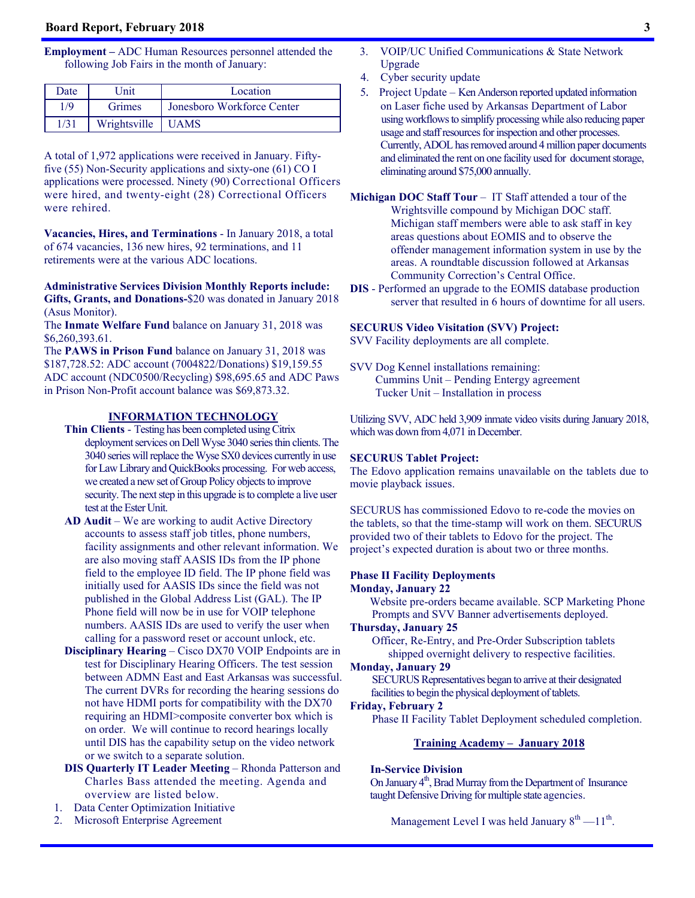#### **Board Report, February 2018** 3

**Employment –** ADC Human Resources personnel attended the following Job Fairs in the month of January:

| Date | Jnit                | Location                   |
|------|---------------------|----------------------------|
| 1/9  | Grimes              | Jonesboro Workforce Center |
| 1/31 | Wrightsville   UAMS |                            |

A total of 1,972 applications were received in January. Fiftyfive (55) Non-Security applications and sixty-one (61) CO I applications were processed. Ninety (90) Correctional Officers were hired, and twenty-eight (28) Correctional Officers were rehired.

**Vacancies, Hires, and Terminations** - In January 2018, a total of 674 vacancies, 136 new hires, 92 terminations, and 11 retirements were at the various ADC locations.

#### **Administrative Services Division Monthly Reports include: Gifts, Grants, and Donations-**\$20 was donated in January 2018 (Asus Monitor).

The **Inmate Welfare Fund** balance on January 31, 2018 was \$6,260,393.61.

The **PAWS in Prison Fund** balance on January 31, 2018 was \$187,728.52: ADC account (7004822/Donations) \$19,159.55 ADC account (NDC0500/Recycling) \$98,695.65 and ADC Paws in Prison Non-Profit account balance was \$69,873.32.

#### **INFORMATION TECHNOLOGY**

- **Thin Clients** Testing has been completed using Citrix deployment services on Dell Wyse 3040 series thin clients. The 3040 series will replace the Wyse SX0 devices currently in use for Law Library and QuickBooks processing. For web access, we created a new set of Group Policy objects to improve security. The next step in this upgrade is to complete a live user test at the Ester Unit.
- **AD Audit**  We are working to audit Active Directory accounts to assess staff job titles, phone numbers, facility assignments and other relevant information. We are also moving staff AASIS IDs from the IP phone field to the employee ID field. The IP phone field was initially used for AASIS IDs since the field was not published in the Global Address List (GAL). The IP Phone field will now be in use for VOIP telephone numbers. AASIS IDs are used to verify the user when calling for a password reset or account unlock, etc.
- **Disciplinary Hearing** Cisco DX70 VOIP Endpoints are in test for Disciplinary Hearing Officers. The test session between ADMN East and East Arkansas was successful. The current DVRs for recording the hearing sessions do not have HDMI ports for compatibility with the DX70 requiring an HDMI>composite converter box which is on order. We will continue to record hearings locally until DIS has the capability setup on the video network or we switch to a separate solution.
- **DIS Quarterly IT Leader Meeting** Rhonda Patterson and Charles Bass attended the meeting. Agenda and overview are listed below.
- 1. Data Center Optimization Initiative
- 2. Microsoft Enterprise Agreement
- 3. VOIP/UC Unified Communications & State Network Upgrade
- 4. Cyber security update
- 5. Project Update Ken Anderson reported updated information on Laser fiche used by Arkansas Department of Labor using workflows to simplify processing while also reducing paper usage and staff resources for inspection and other processes. Currently, ADOL has removed around 4 million paper documents and eliminated the rent on one facility used for document storage, eliminating around \$75,000 annually.

**Michigan DOC Staff Tour** – IT Staff attended a tour of the Wrightsville compound by Michigan DOC staff. Michigan staff members were able to ask staff in key areas questions about EOMIS and to observe the offender management information system in use by the areas. A roundtable discussion followed at Arkansas Community Correction's Central Office.

**DIS** - Performed an upgrade to the EOMIS database production server that resulted in 6 hours of downtime for all users.

#### **SECURUS Video Visitation (SVV) Project:**

SVV Facility deployments are all complete.

SVV Dog Kennel installations remaining: Cummins Unit – Pending Entergy agreement Tucker Unit – Installation in process

Utilizing SVV, ADC held 3,909 inmate video visits during January 2018, which was down from 4,071 in December.

#### **SECURUS Tablet Project:**

The Edovo application remains unavailable on the tablets due to movie playback issues.

SECURUS has commissioned Edovo to re-code the movies on the tablets, so that the time-stamp will work on them. SECURUS provided two of their tablets to Edovo for the project. The project's expected duration is about two or three months.

#### **Phase II Facility Deployments**

**Monday, January 22** 

 Website pre-orders became available. SCP Marketing Phone Prompts and SVV Banner advertisements deployed.

**Thursday, January 25** 

Officer, Re-Entry, and Pre-Order Subscription tablets shipped overnight delivery to respective facilities.

**Monday, January 29** 

SECURUS Representatives began to arrive at their designated facilities to begin the physical deployment of tablets.

#### **Friday, February 2**

Phase II Facility Tablet Deployment scheduled completion.

#### **Training Academy – January 2018**

#### **In-Service Division**

On January  $4<sup>th</sup>$ , Brad Murray from the Department of Insurance taught Defensive Driving for multiple state agencies.

Management Level I was held January  $8<sup>th</sup> - 11<sup>th</sup>$ .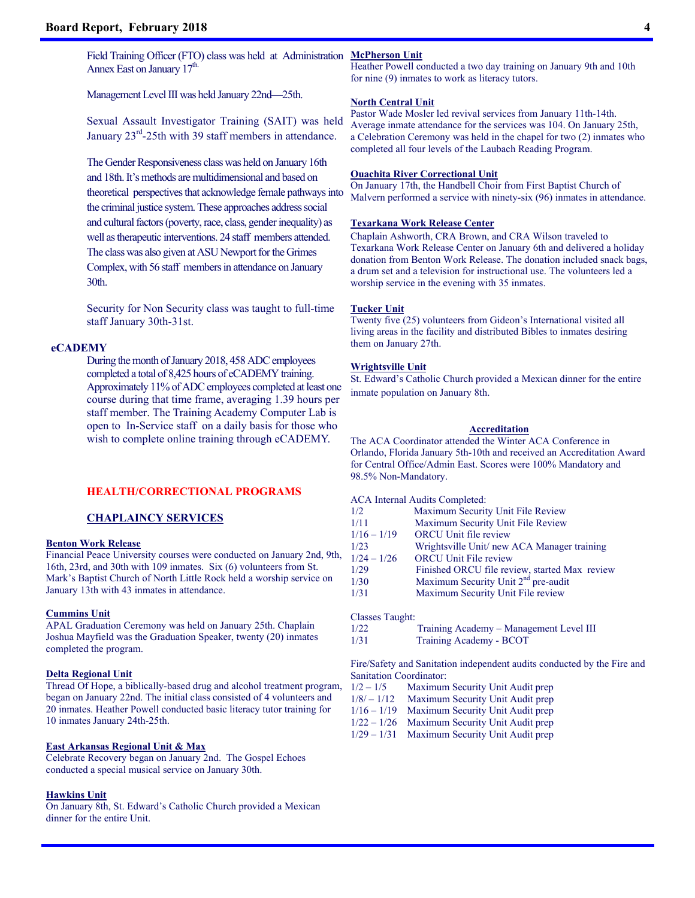Field Training Officer (FTO) class was held at Administration **McPherson Unit** Annex East on January 17<sup>th.</sup>

Management Level III was held January 22nd—25th.

Sexual Assault Investigator Training (SAIT) was held January 23rd-25th with 39 staff members in attendance.

The Gender Responsiveness class was held on January 16th and 18th. It's methods are multidimensional and based on theoretical perspectives that acknowledge female pathways into the criminal justice system. These approaches address social and cultural factors (poverty, race, class, gender inequality) as well as therapeutic interventions. 24 staff members attended. The class was also given at ASU Newport for the Grimes Complex, with 56 staff members in attendance on January 30th.

Security for Non Security class was taught to full-time staff January 30th-31st.

#### **eCADEMY**

During the month of January 2018, 458 ADC employees completed a total of 8,425 hours of eCADEMY training. Approximately 11% of ADC employees completed at least one course during that time frame, averaging 1.39 hours per staff member. The Training Academy Computer Lab is open to In-Service staff on a daily basis for those who wish to complete online training through eCADEMY.

#### **HEALTH/CORRECTIONAL PROGRAMS**

#### **CHAPLAINCY SERVICES**

#### **Benton Work Release**

Financial Peace University courses were conducted on January 2nd, 9th, 16th, 23rd, and 30th with 109 inmates. Six (6) volunteers from St. Mark's Baptist Church of North Little Rock held a worship service on January 13th with 43 inmates in attendance.

#### **Cummins Unit**

APAL Graduation Ceremony was held on January 25th. Chaplain Joshua Mayfield was the Graduation Speaker, twenty (20) inmates completed the program.

#### **Delta Regional Unit**

Thread Of Hope, a biblically-based drug and alcohol treatment program, began on January 22nd. The initial class consisted of 4 volunteers and 20 inmates. Heather Powell conducted basic literacy tutor training for 10 inmates January 24th-25th.

#### **East Arkansas Regional Unit & Max**

Celebrate Recovery began on January 2nd. The Gospel Echoes conducted a special musical service on January 30th.

#### **Hawkins Unit**

On January 8th, St. Edward's Catholic Church provided a Mexican dinner for the entire Unit.

Heather Powell conducted a two day training on January 9th and 10th for nine (9) inmates to work as literacy tutors.

#### **North Central Unit**

Pastor Wade Mosler led revival services from January 11th-14th. Average inmate attendance for the services was 104. On January 25th, a Celebration Ceremony was held in the chapel for two (2) inmates who completed all four levels of the Laubach Reading Program.

#### **Ouachita River Correctional Unit**

On January 17th, the Handbell Choir from First Baptist Church of Malvern performed a service with ninety-six (96) inmates in attendance.

#### **Texarkana Work Release Center**

Chaplain Ashworth, CRA Brown, and CRA Wilson traveled to Texarkana Work Release Center on January 6th and delivered a holiday donation from Benton Work Release. The donation included snack bags, a drum set and a television for instructional use. The volunteers led a worship service in the evening with 35 inmates.

#### **Tucker Unit**

Twenty five (25) volunteers from Gideon's International visited all living areas in the facility and distributed Bibles to inmates desiring them on January 27th.

#### **Wrightsville Unit**

St. Edward's Catholic Church provided a Mexican dinner for the entire inmate population on January 8th.

#### **Accreditation**

The ACA Coordinator attended the Winter ACA Conference in Orlando, Florida January 5th-10th and received an Accreditation Award for Central Office/Admin East. Scores were 100% Mandatory and 98.5% Non-Mandatory.

|               | <b>ACA Internal Audits Completed:</b>           |
|---------------|-------------------------------------------------|
| 1/2           | Maximum Security Unit File Review               |
| 1/11          | Maximum Security Unit File Review               |
| $1/16 - 1/19$ | <b>ORCU Unit file review</b>                    |
| 1/23          | Wrightsville Unit/ new ACA Manager training     |
| $1/24 - 1/26$ | <b>ORCU Unit File review</b>                    |
| 1/29          | Finished ORCU file review, started Max review   |
| 1/30          | Maximum Security Unit 2 <sup>nd</sup> pre-audit |
| 1/31          | Maximum Security Unit File review               |

#### Classes Taught:

- 1/22 Training Academy Management Level III
- 1/31 Training Academy BCOT

Fire/Safety and Sanitation independent audits conducted by the Fire and Sanitation Coordinator:

- $1/2 1/5$  Maximum Security Unit Audit prep<br> $1/8/- 1/12$  Maximum Security Unit Audit prep
- Maximum Security Unit Audit prep
- 1/16 1/19 Maximum Security Unit Audit prep
- 1/22 1/26 Maximum Security Unit Audit prep
- 1/29 1/31 Maximum Security Unit Audit prep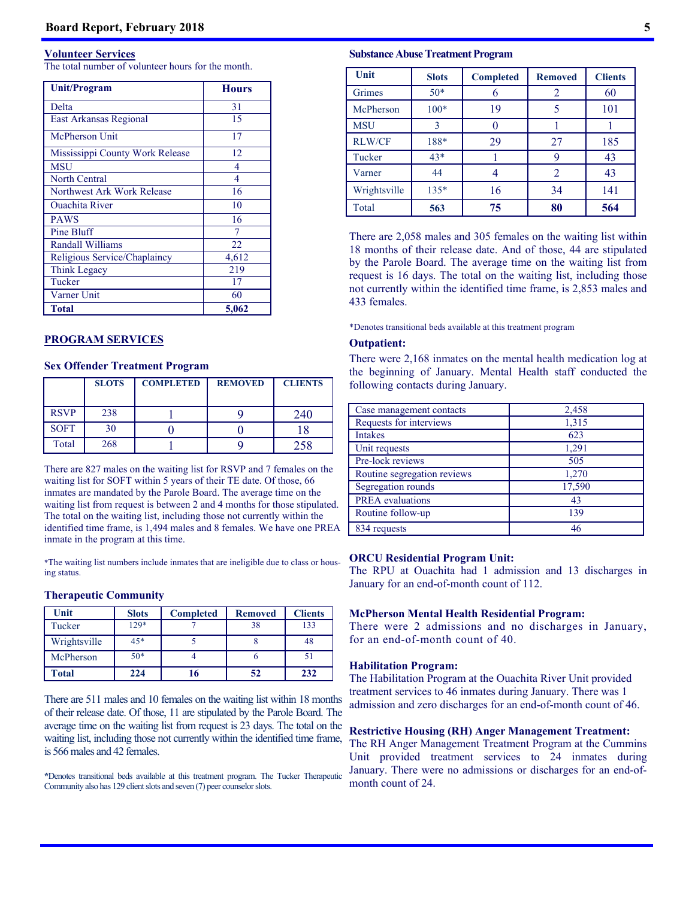#### **Volunteer Services**

The total number of volunteer hours for the month.

| <b>Unit/Program</b>             | <b>Hours</b> |
|---------------------------------|--------------|
| Delta                           | 31           |
| East Arkansas Regional          | 15           |
| McPherson Unit                  | 17           |
| Mississippi County Work Release | 12           |
| <b>MSU</b>                      | 4            |
| <b>North Central</b>            | 4            |
| Northwest Ark Work Release      | 16           |
| <b>Ouachita River</b>           | 10           |
| <b>PAWS</b>                     | 16           |
| Pine Bluff                      |              |
| <b>Randall Williams</b>         | 22           |
| Religious Service/Chaplaincy    | 4,612        |
| <b>Think Legacy</b>             | 219          |
| Tucker                          | 17           |
| Varner Unit                     | 60           |
| <b>Total</b>                    | 5,062        |

#### **PROGRAM SERVICES**

#### **Sex Offender Treatment Program**

|             | <b>SLOTS</b> | <b>COMPLETED</b> | <b>REMOVED</b> | <b>CLIENTS</b> |
|-------------|--------------|------------------|----------------|----------------|
| <b>RSVP</b> | 238          |                  |                | 240            |
| <b>SOFT</b> | 30           |                  |                | 18             |
| Total       | 268          |                  |                |                |

There are 827 males on the waiting list for RSVP and 7 females on the waiting list for SOFT within 5 years of their TE date. Of those, 66 inmates are mandated by the Parole Board. The average time on the waiting list from request is between 2 and 4 months for those stipulated. The total on the waiting list, including those not currently within the identified time frame, is 1,494 males and 8 females. We have one PREA inmate in the program at this time.

\*The waiting list numbers include inmates that are ineligible due to class or housing status.

#### **Therapeutic Community**

| Unit         | <b>Slots</b> | <b>Completed</b> | <b>Removed</b> | <b>Clients</b> |
|--------------|--------------|------------------|----------------|----------------|
| Tucker       | $129*$       |                  | 38             | 133            |
| Wrightsville | $45*$        |                  |                | 48             |
| McPherson    | $50*$        |                  |                | 51             |
| <b>Total</b> | 224          |                  | 52             | 232            |

There are 511 males and 10 females on the waiting list within 18 months of their release date. Of those, 11 are stipulated by the Parole Board. The average time on the waiting list from request is 23 days. The total on the waiting list, including those not currently within the identified time frame, is 566 males and 42 females.

**\***Denotes transitional beds available at this treatment program. The Tucker Therapeutic Community also has 129 client slots and seven (7) peer counselor slots.

#### **Substance Abuse Treatment Program**

| Unit          | <b>Slots</b> | <b>Completed</b> | <b>Removed</b> | <b>Clients</b> |
|---------------|--------------|------------------|----------------|----------------|
| Grimes        | $50*$        |                  | 2              | 60             |
| McPherson     | $100*$       | 19               | 5              | 101            |
| <b>MSU</b>    | 3            |                  |                |                |
| <b>RLW/CF</b> | 188*         | 29               | 27             | 185            |
| Tucker        | $43*$        |                  | 9              | 43             |
| Varner        | 44           |                  | $\overline{2}$ | 43             |
| Wrightsville  | $135*$       | 16               | 34             | 141            |
| Total         | 563          | 75               | 80             | 564            |

There are 2,058 males and 305 females on the waiting list within 18 months of their release date. And of those, 44 are stipulated by the Parole Board. The average time on the waiting list from request is 16 days. The total on the waiting list, including those not currently within the identified time frame, is 2,853 males and 433 females.

\*Denotes transitional beds available at this treatment program

#### **Outpatient:**

There were 2,168 inmates on the mental health medication log at the beginning of January. Mental Health staff conducted the following contacts during January.

| Case management contacts    | 2,458  |
|-----------------------------|--------|
| Requests for interviews     | 1,315  |
| <b>Intakes</b>              | 623    |
| Unit requests               | 1,291  |
| Pre-lock reviews            | 505    |
| Routine segregation reviews | 1,270  |
| Segregation rounds          | 17,590 |
| <b>PREA</b> evaluations     | 43     |
| Routine follow-up           | 139    |
| 834 requests                | 46     |

#### **ORCU Residential Program Unit:**

The RPU at Ouachita had 1 admission and 13 discharges in January for an end-of-month count of 112.

#### **McPherson Mental Health Residential Program:**

There were 2 admissions and no discharges in January, for an end-of-month count of 40.

#### **Habilitation Program:**

The Habilitation Program at the Ouachita River Unit provided treatment services to 46 inmates during January. There was 1 admission and zero discharges for an end-of-month count of 46.

#### **Restrictive Housing (RH) Anger Management Treatment:**

The RH Anger Management Treatment Program at the Cummins Unit provided treatment services to 24 inmates during January. There were no admissions or discharges for an end-ofmonth count of 24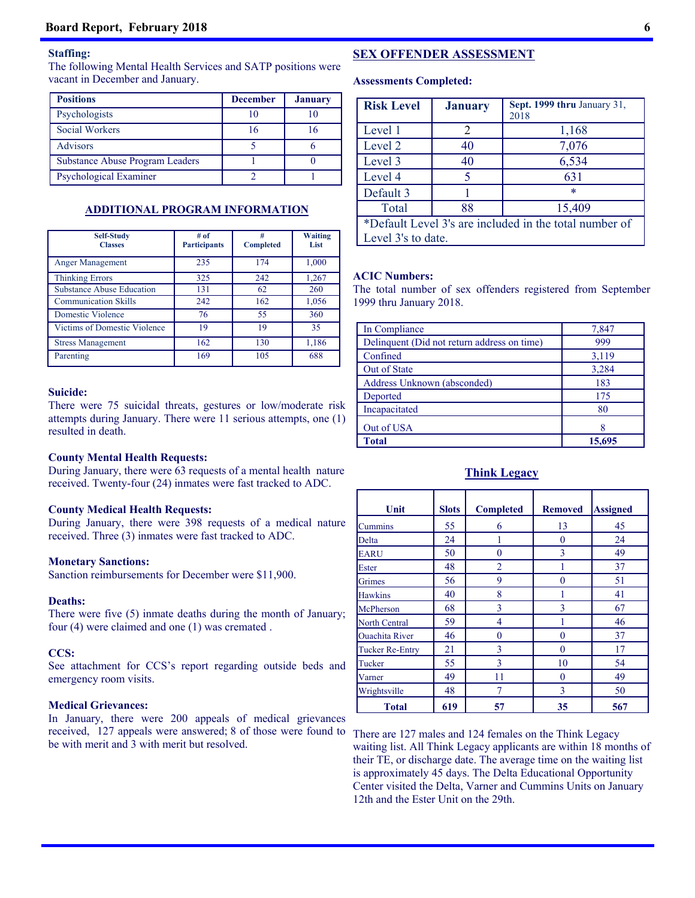#### **Board Report, February 2018 6**

#### **Staffing:**

The following Mental Health Services and SATP positions were vacant in December and January.

| <b>Positions</b>                       | <b>December</b> | <b>January</b> |
|----------------------------------------|-----------------|----------------|
| Psychologists                          |                 |                |
| <b>Social Workers</b>                  | 16              |                |
| <b>Advisors</b>                        |                 |                |
| <b>Substance Abuse Program Leaders</b> |                 |                |
| Psychological Examiner                 |                 |                |

#### **ADDITIONAL PROGRAM INFORMATION**

| <b>Self-Study</b><br><b>Classes</b> | # of<br><b>Participants</b> | #<br><b>Completed</b> | <b>Waiting</b><br>List |
|-------------------------------------|-----------------------------|-----------------------|------------------------|
| Anger Management                    | 235                         | 174                   | 1,000                  |
| <b>Thinking Errors</b>              | 325                         | 242                   | 1,267                  |
| <b>Substance Abuse Education</b>    | 131                         | 62                    | 260                    |
| <b>Communication Skills</b>         | 242                         | 162                   | 1,056                  |
| Domestic Violence                   | 76                          | 55                    | 360                    |
| Victims of Domestic Violence        | 19                          | 19                    | 35                     |
| <b>Stress Management</b>            | 162                         | 130                   | 1,186                  |
| Parenting                           | 169                         | 105                   | 688                    |

#### **Suicide:**

There were 75 suicidal threats, gestures or low/moderate risk attempts during January. There were 11 serious attempts, one (1) resulted in death.

#### **County Mental Health Requests:**

During January, there were 63 requests of a mental health nature received. Twenty-four (24) inmates were fast tracked to ADC.

#### **County Medical Health Requests:**

During January, there were 398 requests of a medical nature received. Three (3) inmates were fast tracked to ADC.

#### **Monetary Sanctions:**

Sanction reimbursements for December were \$11,900.

#### **Deaths:**

There were five (5) inmate deaths during the month of January; four (4) were claimed and one (1) was cremated .

#### **CCS:**

See attachment for CCS's report regarding outside beds and emergency room visits.

#### **Medical Grievances:**

In January, there were 200 appeals of medical grievances received, 127 appeals were answered; 8 of those were found to be with merit and 3 with merit but resolved.

#### **SEX OFFENDER ASSESSMENT**

**Assessments Completed:** 

| <b>Risk Level</b>  | <b>January</b> | Sept. 1999 thru January 31,<br>2018                    |
|--------------------|----------------|--------------------------------------------------------|
| Level 1            | 2              | 1,168                                                  |
| Level 2            | 40             | 7,076                                                  |
| Level 3            | 40             | 6,534                                                  |
| Level 4            |                | 631                                                    |
| Default 3          |                | $\ast$                                                 |
| Total              | 88             | 15,409                                                 |
|                    |                | *Default Level 3's are included in the total number of |
| Level 3's to date. |                |                                                        |

#### **ACIC Numbers:**

The total number of sex offenders registered from September 1999 thru January 2018.

| In Compliance                               | 7,847  |
|---------------------------------------------|--------|
| Delinquent (Did not return address on time) | 999    |
| Confined                                    | 3,119  |
| Out of State                                | 3,284  |
| Address Unknown (absconded)                 | 183    |
| Deported                                    | 175    |
| Incapacitated                               | 80     |
| Out of USA                                  |        |
| Total                                       | 15,695 |

#### **Think Legacy**

| Unit                   | <b>Slots</b> | <b>Completed</b> | Removed  | <b>Assigned</b> |
|------------------------|--------------|------------------|----------|-----------------|
| Cummins                | 55           | 6                | 13       | 45              |
| Delta                  | 24           |                  | $\Omega$ | 24              |
| <b>EARU</b>            | 50           | $\theta$         | 3        | 49              |
| Ester                  | 48           | 2                |          | 37              |
| Grimes                 | 56           | 9                | 0        | 51              |
| <b>Hawkins</b>         | 40           | 8                |          | 41              |
| McPherson              | 68           | 3                | 3        | 67              |
| North Central          | 59           | 4                |          | 46              |
| <b>Ouachita River</b>  | 46           | $\theta$         | $\Omega$ | 37              |
| <b>Tucker Re-Entry</b> | 21           | 3                | $\theta$ | 17              |
| Tucker                 | 55           | 3                | 10       | 54              |
| Varner                 | 49           | 11               | $\Omega$ | 49              |
| Wrightsville           | 48           | 7                | 3        | 50              |
| <b>Total</b>           | 619          | 57               | 35       | 567             |

There are 127 males and 124 females on the Think Legacy waiting list. All Think Legacy applicants are within 18 months of their TE, or discharge date. The average time on the waiting list is approximately 45 days. The Delta Educational Opportunity Center visited the Delta, Varner and Cummins Units on January 12th and the Ester Unit on the 29th.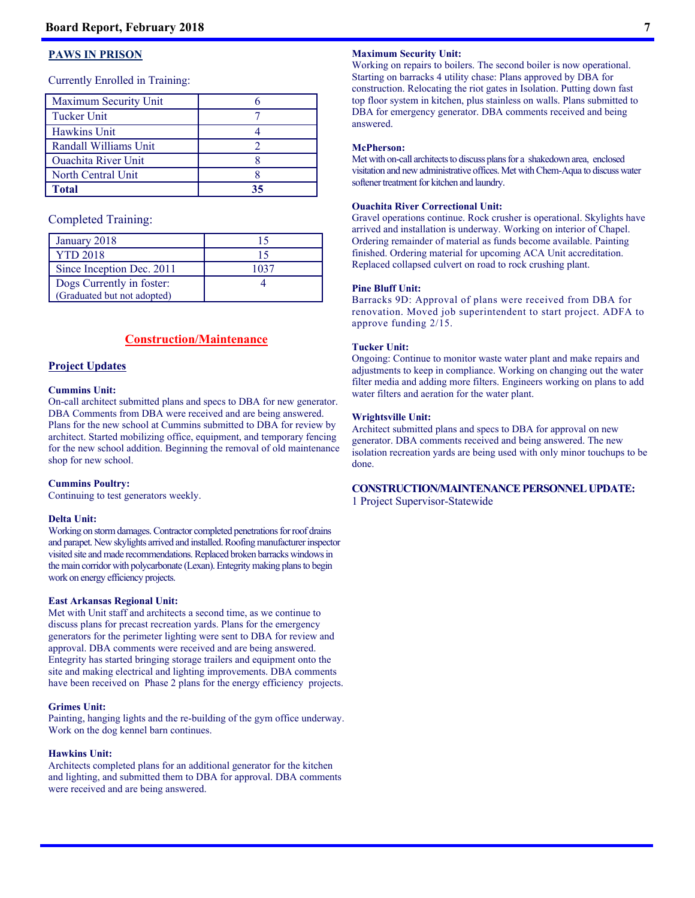#### **PAWS IN PRISON**

Currently Enrolled in Training:

| Maximum Security Unit |    |
|-----------------------|----|
| <b>Tucker Unit</b>    |    |
| Hawkins Unit          |    |
| Randall Williams Unit |    |
| Quachita River Unit   |    |
| North Central Unit    |    |
| <b>Total</b>          | 35 |

#### Completed Training:

| January 2018                | 15   |
|-----------------------------|------|
| <b>YTD 2018</b>             | 15   |
| Since Inception Dec. 2011   | 1037 |
| Dogs Currently in foster:   |      |
| (Graduated but not adopted) |      |

#### **Construction/Maintenance**

#### **Project Updates**

#### **Cummins Unit:**

On-call architect submitted plans and specs to DBA for new generator. DBA Comments from DBA were received and are being answered. Plans for the new school at Cummins submitted to DBA for review by architect. Started mobilizing office, equipment, and temporary fencing for the new school addition. Beginning the removal of old maintenance shop for new school.

#### **Cummins Poultry:**

Continuing to test generators weekly.

#### **Delta Unit:**

Working on storm damages. Contractor completed penetrations for roof drains and parapet. New skylights arrived and installed. Roofing manufacturer inspector visited site and made recommendations. Replaced broken barracks windows in the main corridor with polycarbonate (Lexan). Entegrity making plans to begin work on energy efficiency projects.

#### **East Arkansas Regional Unit:**

Met with Unit staff and architects a second time, as we continue to discuss plans for precast recreation yards. Plans for the emergency generators for the perimeter lighting were sent to DBA for review and approval. DBA comments were received and are being answered. Entegrity has started bringing storage trailers and equipment onto the site and making electrical and lighting improvements. DBA comments have been received on Phase 2 plans for the energy efficiency projects.

#### **Grimes Unit:**

Painting, hanging lights and the re-building of the gym office underway. Work on the dog kennel barn continues.

#### **Hawkins Unit:**

Architects completed plans for an additional generator for the kitchen and lighting, and submitted them to DBA for approval. DBA comments were received and are being answered.

#### **Maximum Security Unit:**

Working on repairs to boilers. The second boiler is now operational. Starting on barracks 4 utility chase: Plans approved by DBA for construction. Relocating the riot gates in Isolation. Putting down fast top floor system in kitchen, plus stainless on walls. Plans submitted to DBA for emergency generator. DBA comments received and being answered.

#### **McPherson:**

Met with on-call architects to discuss plans for a shakedown area, enclosed visitation and new administrative offices. Met with Chem-Aqua to discuss water softener treatment for kitchen and laundry.

#### **Ouachita River Correctional Unit:**

Gravel operations continue. Rock crusher is operational. Skylights have arrived and installation is underway. Working on interior of Chapel. Ordering remainder of material as funds become available. Painting finished. Ordering material for upcoming ACA Unit accreditation. Replaced collapsed culvert on road to rock crushing plant.

#### **Pine Bluff Unit:**

Barracks 9D: Approval of plans were received from DBA for renovation. Moved job superintendent to start project. ADFA to approve funding 2/15.

#### **Tucker Unit:**

Ongoing: Continue to monitor waste water plant and make repairs and adjustments to keep in compliance. Working on changing out the water filter media and adding more filters. Engineers working on plans to add water filters and aeration for the water plant.

#### **Wrightsville Unit:**

Architect submitted plans and specs to DBA for approval on new generator. DBA comments received and being answered. The new isolation recreation yards are being used with only minor touchups to be done.

#### **CONSTRUCTION/MAINTENANCE PERSONNEL UPDATE:**

1 Project Supervisor-Statewide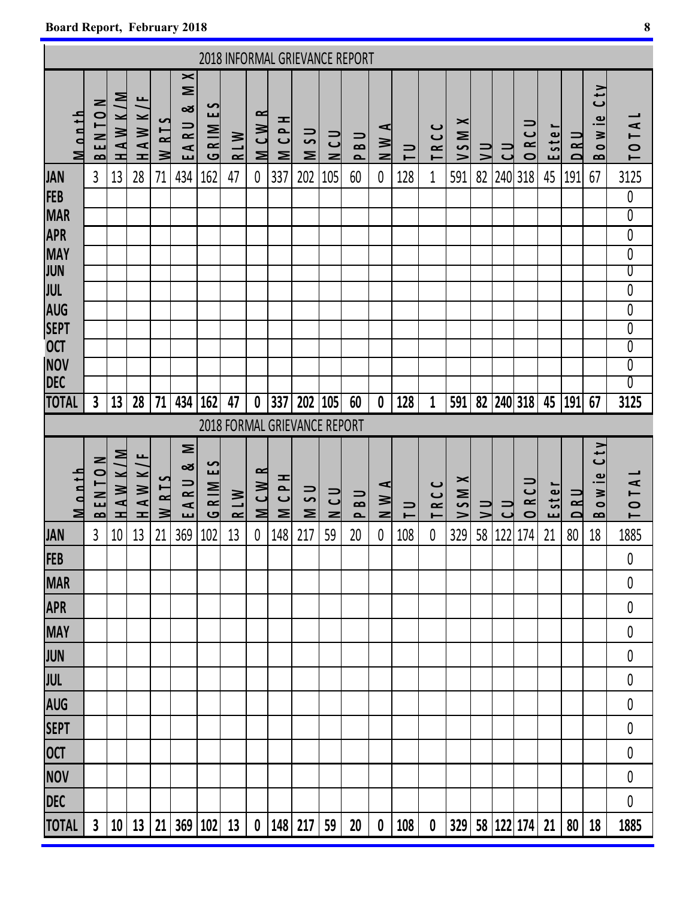## **Board Report, February 2018** 8

Τ

|                                         |                           |         |         |                                     |                                                       |              |            |                         |                |            |             | 2018 INFORMAL GRIEVANCE REPORT |                               |                          |                  |         |          |        |            |       |     |                                             |                                  |
|-----------------------------------------|---------------------------|---------|---------|-------------------------------------|-------------------------------------------------------|--------------|------------|-------------------------|----------------|------------|-------------|--------------------------------|-------------------------------|--------------------------|------------------|---------|----------|--------|------------|-------|-----|---------------------------------------------|----------------------------------|
| Month                                   | N<br>O<br>T<br><b>BEN</b> | HAW K/M | HAW K/F | S<br>WRT.                           | $\mathord{\vphantom{1}}^{\text{}}$<br>Σ<br>න්<br>EARU | GRIMES       | RLW        | $\approx$<br><b>MCW</b> | <b>H d D H</b> | <b>NSU</b> | U<br>U<br>Z | <b>PBU</b>                     | $\overline{M}$ $\overline{M}$ | $\overline{1}$           | TRCC             | V S M X | $\equiv$ | UU     | ORCU       | Ester | DRU | <b>Cty</b><br>Bowie                         | <b>TOTA</b>                      |
| <b>JAN</b>                              | $\overline{3}$            | 13      | 28      | 71                                  | 434                                                   | 162          | 47         | $\mathbf 0$             | 337            | 202        | 105         | 60                             | $\mathbf 0$                   | 128                      | $\mathbf{1}$     | 591     | 82       | 240    | 318        | 45    | 191 | 67                                          | 3125                             |
| FEB                                     |                           |         |         |                                     |                                                       |              |            |                         |                |            |             |                                |                               |                          |                  |         |          |        |            |       |     |                                             | 0                                |
| <b>MAR</b>                              |                           |         |         |                                     |                                                       |              |            |                         |                |            |             |                                |                               |                          |                  |         |          |        |            |       |     |                                             | $\overline{0}$                   |
| <b>APR</b>                              |                           |         |         |                                     |                                                       |              |            |                         |                |            |             |                                |                               |                          |                  |         |          |        |            |       |     |                                             | $\pmb{0}$<br>$\pmb{0}$           |
| <b>MAY<br/>JUN</b>                      |                           |         |         |                                     |                                                       |              |            |                         |                |            |             |                                |                               |                          |                  |         |          |        |            |       |     |                                             | $\overline{0}$                   |
| JUL                                     |                           |         |         |                                     |                                                       |              |            |                         |                |            |             |                                |                               |                          |                  |         |          |        |            |       |     |                                             | $\pmb{0}$                        |
| AUG                                     |                           |         |         |                                     |                                                       |              |            |                         |                |            |             |                                |                               |                          |                  |         |          |        |            |       |     |                                             | $\pmb{0}$                        |
| SEPT<br><b>OCT</b>                      |                           |         |         |                                     |                                                       |              |            |                         |                |            |             |                                |                               |                          |                  |         |          |        |            |       |     |                                             | $\overline{0}$<br>$\overline{0}$ |
| <b>NOV</b>                              |                           |         |         |                                     |                                                       |              |            |                         |                |            |             |                                |                               |                          |                  |         |          |        |            |       |     |                                             | $\overline{0}$                   |
| <b>DEC</b>                              |                           |         |         |                                     |                                                       |              |            |                         |                |            |             |                                |                               |                          |                  |         |          |        |            |       |     |                                             | $\overline{0}$                   |
| <b>TOTAL</b>                            | $\mathbf{3}$              | 13      | 28      | 71                                  | 434                                                   | 162          | 47         | 0                       | 337            | 202        | 105         | 60                             | 0                             | 128                      | 1                | 591     |          |        | 82 240 318 | 45    | 191 | 67                                          | 3125                             |
|                                         |                           |         |         | <b>2018 FORMAL GRIEVANCE REPORT</b> |                                                       |              |            |                         |                |            |             |                                |                               |                          |                  |         |          |        |            |       |     |                                             |                                  |
|                                         |                           |         |         |                                     |                                                       |              |            |                         |                |            |             |                                |                               |                          |                  |         |          |        |            |       |     |                                             |                                  |
| Month                                   | <b>BENTON</b>             | HAW K/M | HAW K/F |                                     | Σ<br>න්<br>EARU                                       | $G$ R IM E S | <b>RLW</b> | $\approx$               | MCPH           | N SU       | NCU         | <b>PBU</b>                     | ⋖<br>$\geq$                   | $\overline{\phantom{0}}$ | TRCC             | VSMX    | VU       | UU     | ORCU       | Ester | DRU | $C$ ty<br>$\frac{B \, o \, w \, i \, e}{2}$ | T01A                             |
| JAN                                     | $\mathfrak{Z}$            | 10      | 13      | WRTS<br>21                          | 369                                                   | 102          | 13         | MCW<br>0                | 148            | 217        | 59          | 20                             | 0                             | 108                      | $\boldsymbol{0}$ | 329     |          | 58 122 | 174        | 21    | 80  | 18                                          | 1885                             |
| FEB                                     |                           |         |         |                                     |                                                       |              |            |                         |                |            |             |                                |                               |                          |                  |         |          |        |            |       |     |                                             | $\pmb{0}$                        |
| <b>MAR</b>                              |                           |         |         |                                     |                                                       |              |            |                         |                |            |             |                                |                               |                          |                  |         |          |        |            |       |     |                                             | 0                                |
| <b>APR</b>                              |                           |         |         |                                     |                                                       |              |            |                         |                |            |             |                                |                               |                          |                  |         |          |        |            |       |     |                                             | 0                                |
| <b>MAY</b>                              |                           |         |         |                                     |                                                       |              |            |                         |                |            |             |                                |                               |                          |                  |         |          |        |            |       |     |                                             | 0                                |
|                                         |                           |         |         |                                     |                                                       |              |            |                         |                |            |             |                                |                               |                          |                  |         |          |        |            |       |     |                                             | 0                                |
|                                         |                           |         |         |                                     |                                                       |              |            |                         |                |            |             |                                |                               |                          |                  |         |          |        |            |       |     |                                             | 0                                |
|                                         |                           |         |         |                                     |                                                       |              |            |                         |                |            |             |                                |                               |                          |                  |         |          |        |            |       |     |                                             | 0                                |
| JUN<br>JUL<br><b>AUG</b><br><b>SEPT</b> |                           |         |         |                                     |                                                       |              |            |                         |                |            |             |                                |                               |                          |                  |         |          |        |            |       |     |                                             | 0                                |
|                                         |                           |         |         |                                     |                                                       |              |            |                         |                |            |             |                                |                               |                          |                  |         |          |        |            |       |     |                                             | 0                                |
| OCT                                     |                           |         |         |                                     |                                                       |              |            |                         |                |            |             |                                |                               |                          |                  |         |          |        |            |       |     |                                             | $\boldsymbol{0}$                 |
| <b>NOV</b><br><b>DEC</b>                |                           |         |         |                                     |                                                       |              |            |                         |                |            |             |                                |                               |                          |                  |         |          |        |            |       |     |                                             | 0                                |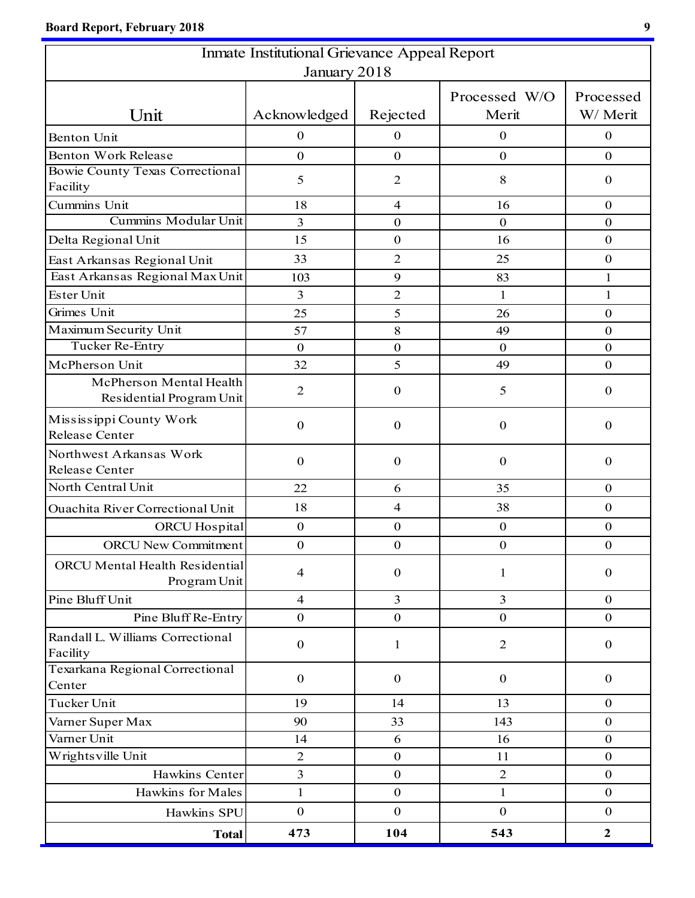|                                                     | <b>Inmate Institutional Grievance Appeal Report</b> |                  |                        |                       |  |  |
|-----------------------------------------------------|-----------------------------------------------------|------------------|------------------------|-----------------------|--|--|
|                                                     | January 2018                                        |                  |                        |                       |  |  |
| Unit                                                | Acknowledged                                        | Rejected         | Processed W/O<br>Merit | Processed<br>W/ Merit |  |  |
| Benton Unit                                         | $\boldsymbol{0}$                                    | $\mathbf{0}$     | $\mathbf{0}$           | $\mathbf{0}$          |  |  |
| <b>Benton Work Release</b>                          | $\boldsymbol{0}$                                    | $\mathbf{0}$     | $\mathbf{0}$           | $\boldsymbol{0}$      |  |  |
| <b>Bowie County Texas Correctional</b>              |                                                     |                  |                        |                       |  |  |
| Facility                                            | 5                                                   | $\overline{2}$   | 8                      | $\mathbf{0}$          |  |  |
| Cummins Unit                                        | 18                                                  | $\overline{4}$   | 16                     | $\boldsymbol{0}$      |  |  |
| Cummins Modular Unit                                | 3                                                   | $\boldsymbol{0}$ | $\mathbf{0}$           | $\boldsymbol{0}$      |  |  |
| Delta Regional Unit                                 | 15                                                  | $\mathbf{0}$     | 16                     | $\boldsymbol{0}$      |  |  |
| East Arkansas Regional Unit                         | 33                                                  | $\overline{2}$   | 25                     | $\boldsymbol{0}$      |  |  |
| East Arkansas Regional Max Unit                     | 103                                                 | 9                | 83                     | 1                     |  |  |
| <b>Ester Unit</b>                                   | 3                                                   | $\overline{c}$   | 1                      | $\mathbf{1}$          |  |  |
| Grimes Unit                                         | 25                                                  | 5                | 26                     | $\boldsymbol{0}$      |  |  |
| Maximum Security Unit                               | 57                                                  | $8\,$            | 49                     | $\boldsymbol{0}$      |  |  |
| <b>Tucker Re-Entry</b>                              | $\mathbf{0}$                                        | $\boldsymbol{0}$ | $\mathbf{0}$           | $\mathbf{0}$          |  |  |
| McPherson Unit                                      | 32                                                  | 5                | 49                     | $\boldsymbol{0}$      |  |  |
| McPherson Mental Health<br>Residential Program Unit | $\overline{2}$                                      | $\boldsymbol{0}$ | 5                      | $\boldsymbol{0}$      |  |  |
| Mississippi County Work<br>Release Center           | $\mathbf{0}$                                        | $\mathbf{0}$     | $\boldsymbol{0}$       | $\boldsymbol{0}$      |  |  |
| Northwest Arkansas Work<br>Release Center           | $\boldsymbol{0}$                                    | $\mathbf{0}$     | $\boldsymbol{0}$       | $\mathbf{0}$          |  |  |
| North Central Unit                                  | 22                                                  | 6                | 35                     | $\mathbf{0}$          |  |  |
| <b>Ouachita River Correctional Unit</b>             | 18                                                  | $\overline{4}$   | 38                     | $\boldsymbol{0}$      |  |  |
| <b>ORCU</b> Hospital                                | $\boldsymbol{0}$                                    | $\boldsymbol{0}$ | $\boldsymbol{0}$       | $\boldsymbol{0}$      |  |  |
| <b>ORCU New Commitment</b>                          | $\boldsymbol{0}$                                    | $\boldsymbol{0}$ | $\boldsymbol{0}$       | $\mathbf{0}$          |  |  |
| ORCU Mental Health Residential<br>Program Unit      | $\overline{4}$                                      | $\boldsymbol{0}$ | 1                      | $\boldsymbol{0}$      |  |  |
| Pine Bluff Unit                                     | $\overline{4}$                                      | $\overline{3}$   | $\overline{3}$         | $\mathbf{0}$          |  |  |
| Pine Bluff Re-Entry                                 | $\mathbf{0}$                                        | $\mathbf{0}$     | $\mathbf{0}$           | $\mathbf{0}$          |  |  |
| Randall L. Williams Correctional<br>Facility        | $\mathbf{0}$                                        | $\mathbf{1}$     | $\overline{2}$         | $\mathbf{0}$          |  |  |
| Texarkana Regional Correctional<br>Center           | $\boldsymbol{0}$                                    | $\mathbf{0}$     | $\boldsymbol{0}$       | $\mathbf{0}$          |  |  |
| Tucker Unit                                         | 19                                                  | 14               | 13                     | $\mathbf{0}$          |  |  |
| Varner Super Max                                    | 90                                                  | 33               | 143                    | $\mathbf{0}$          |  |  |
| Varner Unit                                         | 14                                                  | 6                | 16                     | $\mathbf{0}$          |  |  |
| Wrightsville Unit                                   | $\overline{2}$                                      | $\boldsymbol{0}$ | 11                     | $\boldsymbol{0}$      |  |  |
| Hawkins Center                                      | $\overline{3}$                                      | $\boldsymbol{0}$ | $\overline{2}$         | $\boldsymbol{0}$      |  |  |
| Hawkins for Males                                   | $\mathbf{1}$                                        | $\mathbf{0}$     | $\mathbf{1}$           | $\mathbf{0}$          |  |  |
| Hawkins SPU                                         | $\mathbf{0}$                                        | $\mathbf{0}$     | $\mathbf{0}$           | $\boldsymbol{0}$      |  |  |
| <b>Total</b>                                        | 473                                                 | 104              | 543                    | $\mathbf{2}$          |  |  |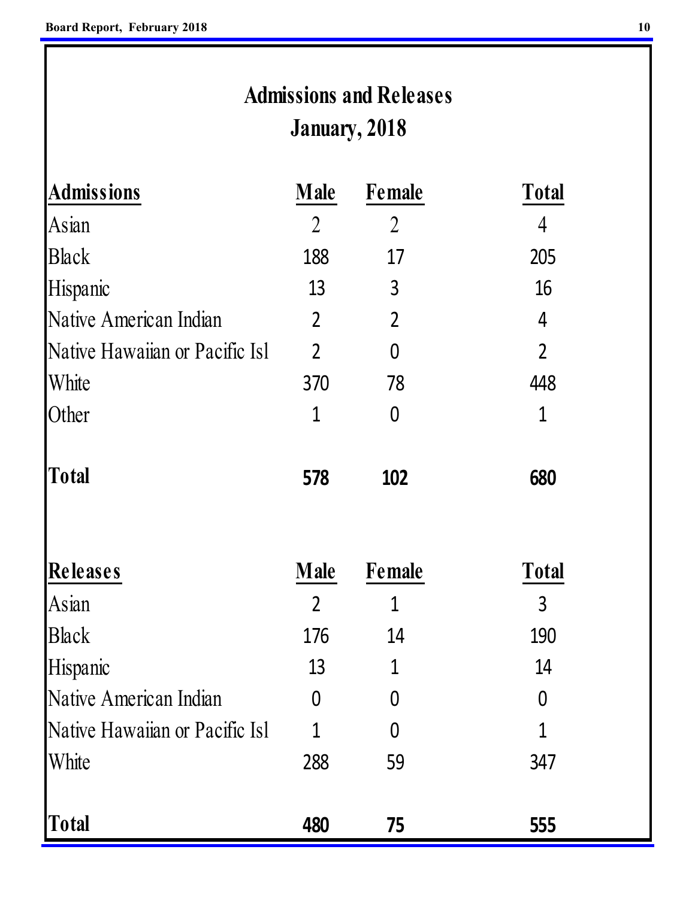# **Admissions and Releases January, 2018**

| <b>Admissions</b>              | <b>Male</b>    | <b>Female</b>  | <b>Total</b>   |
|--------------------------------|----------------|----------------|----------------|
| Asian                          | $\overline{2}$ | $\overline{2}$ | 4              |
| <b>Black</b>                   | 188            | 17             | 205            |
| Hispanic                       | 13             | 3              | 16             |
| Native American Indian         | $\overline{2}$ | $\overline{2}$ | 4              |
| Native Hawaiian or Pacific Isl | $\overline{2}$ | $\overline{0}$ | $\overline{2}$ |
| White                          | 370            | 78             | 448            |
| Other                          | 1              | $\Omega$       | 1              |
| <b>Total</b>                   | 578            | 102            | 680            |
| Releases                       | <b>Male</b>    | <b>Female</b>  | <b>Total</b>   |
| Asian                          | $\overline{2}$ | $\mathbf 1$    | 3              |
| <b>Black</b>                   | 176            | 14             | 190            |
| Hispanic                       | 13             | 1              | 14             |
| Native American Indian         |                | 0              | 0              |
| Native Hawaiian or Pacific Isl | 1              | 0              | 1              |
| White                          | 288            | 59             | 347            |
| <b>Total</b>                   | 480            | 75             | 555            |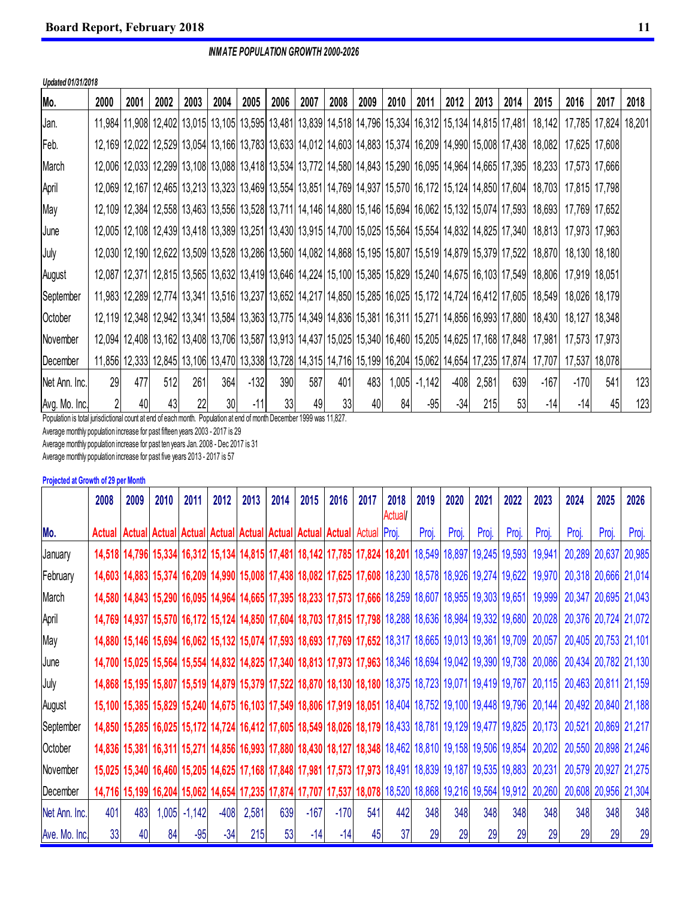*Updated 01/31/2018*

| Mo.           | 2000 | 2001 | 2002 | 2003 | 2004            | 2005   | 2006 | 2007 | 2008            | 2009 | 2010 | 2011           | 2012  | 2013  | 2014 | 2015                                                                                                                                                                   | 2016   | 2017 | 2018 |
|---------------|------|------|------|------|-----------------|--------|------|------|-----------------|------|------|----------------|-------|-------|------|------------------------------------------------------------------------------------------------------------------------------------------------------------------------|--------|------|------|
| Jan.          |      |      |      |      |                 |        |      |      |                 |      |      |                |       |       |      | 11,984 11,908 12,402 13,015 13,105 13,595 13,481 13,839 14,518 14,796 15,334 16,312 15,134 14,815 17,481 18,142 17,785 17,824 18,201                                   |        |      |      |
| Feb.          |      |      |      |      |                 |        |      |      |                 |      |      |                |       |       |      | 12,169 12,022 12,529 13,054 13,166 13,783 13,633 14,012 14,003 14,883 15,374 16,209 14,990 15,008 17,438 18,082 17,625 17,608                                          |        |      |      |
| March         |      |      |      |      |                 |        |      |      |                 |      |      |                |       |       |      | 12,006 12,033 12,299 13,108 13,088 13,418 13,534 13,772 14,580 14,843 15,290 16,095 14,964 14,665 17,395 18,233 17,573 17,666                                          |        |      |      |
| April         |      |      |      |      |                 |        |      |      |                 |      |      |                |       |       |      | 12,069 12,167 12,465 13,213 13,323 13,469 13,554 13,851 14,769 14,937 15,570 16,172 15,124 14,850 17,604 18,703 17,815 17,798                                          |        |      |      |
| May           |      |      |      |      |                 |        |      |      |                 |      |      |                |       |       |      | 12,109 12,384 12,558 13,463 13,556 13,558 13,711 14,146 14,880 15,146 15,694 16,062 15,132 15,074 17,593 18,693 17,769 17,652                                          |        |      |      |
| June          |      |      |      |      |                 |        |      |      |                 |      |      |                |       |       |      | 12,005 12,108 12,439 13,418 13,389 13,251 13,430 13,915 14,700 15,025 15,564 15,554 14,832 14,825 17,340 18,813 17,973 17,963 17,963                                   |        |      |      |
| July          |      |      |      |      |                 |        |      |      |                 |      |      |                |       |       |      | 12,030 12,190 12,622 13,509 13,528 13,286 13,560 14,082 14,868 15,195 15,807 15,519 14,879 15,379 17,522 18,870 18,130 18,130                                          |        |      |      |
| August        |      |      |      |      |                 |        |      |      |                 |      |      |                |       |       |      | 12,087 12,371 12,815 13,565 13,632 13,419 13,646 14,224 15,100 15,385 15,829 15,240 14,675 16,103 17,549 18,806 17,919 18,051                                          |        |      |      |
| September     |      |      |      |      |                 |        |      |      |                 |      |      |                |       |       |      | 11,983  12,289  12,774  13,341  13,516  13,237  13,652  14,217  14,850  15,285  16,025  15,172  14,724  16,412  17,605  18,549  18,026  18,179  14,774  15,026  18,179 |        |      |      |
| October       |      |      |      |      |                 |        |      |      |                 |      |      |                |       |       |      | 12,119 12,348 12,942 13,341 13,584 13,363 13,775 14,349 14,836 15,381 16,311 15,271 14,856 16,993 17,880 18,430 18,127 18,348                                          |        |      |      |
| November      |      |      |      |      |                 |        |      |      |                 |      |      |                |       |       |      | 12,094 12,408 13,162 13,408 13,706 13,587 13,913 14,437 15,025 15,340 16,460 15,205 14,625 17,168 17,848 17,981 17,573 17,973                                          |        |      |      |
| December      |      |      |      |      |                 |        |      |      |                 |      |      |                |       |       |      | 11,856  12,333  12,845  13,106  13,470  13,338  13,728  14,315  14,716  15,199  16,204  15,062  14,654  17,235  17,874  17,707  17,537  18,078                         |        |      |      |
| Net Ann. Inc. | 29   | 477  | 512  | 261  | 364             | $-132$ | 390  | 587  | 401             | 483  |      | $1,005$ -1,142 | -408  | 2,581 | 639  | $-167$                                                                                                                                                                 | $-170$ | 541  | 123  |
| Avg. Mo. Inc. |      | 40   | 43   | 22   | 30 <sup>1</sup> | $-11$  | 33   | 49   | 33 <sup>1</sup> | 40   | 84   | $-95$          | $-34$ | 215   | 53   | $-14$                                                                                                                                                                  | $-14$  | 45   | 123  |

Population is total jurisdictional count at end of each month. Population at end of month December 1999 was 11,827.

Average monthly population increase for past fifteen years 2003 - 2017 is 29

Average monthly population increase for past ten years Jan. 2008 - Dec 2017 is 31

Average monthly population increase for past five years 2013 - 2017 is 57

#### **Projected at Growth of 29 per Month**

|               | 2008            | 2009                                                                                   | 2010 | 2011           | 2012   | 2013  | 2014 | 2015   | 2016   | 2017 | 2018<br>Actual | 2019  | 2020  | 2021                                                                                                     | 2022  | 2023                                                                                                                                          | 2024                                                                                                                                                    | 2025          | 2026                 |
|---------------|-----------------|----------------------------------------------------------------------------------------|------|----------------|--------|-------|------|--------|--------|------|----------------|-------|-------|----------------------------------------------------------------------------------------------------------|-------|-----------------------------------------------------------------------------------------------------------------------------------------------|---------------------------------------------------------------------------------------------------------------------------------------------------------|---------------|----------------------|
| Mo.           |                 | Actual   Actual   Actual   Actual   Actual   Actual   Actual   Actual   Actual   Proj. |      |                |        |       |      |        |        |      |                | Proj. | Proj. | Proj.                                                                                                    | Proj. | Proj.                                                                                                                                         | Proi.                                                                                                                                                   | Proj.         | Proj.                |
| January       |                 |                                                                                        |      |                |        |       |      |        |        |      |                |       |       | 14,518 14,796 15,334 16,312 15,134 14,815 17,481 18,142 17,785 17,824 18,201 18,549 18,897 19,245 19,593 |       | 19,941                                                                                                                                        |                                                                                                                                                         | 20,289 20,637 | 20,985               |
| February      |                 |                                                                                        |      |                |        |       |      |        |        |      |                |       |       | 14,603 14,883 15,374 16,209 14,990 15,008 17,438 18,082 17,625 17,608 18,230 18,578 18,926 19,274 19,622 |       | 19,970                                                                                                                                        | 20,318 20,666 21,014                                                                                                                                    |               |                      |
| March         |                 |                                                                                        |      |                |        |       |      |        |        |      |                |       |       | 14,580 14,843 15,290 16,095 14,964 14,665 17,395 18,233 17,573 17,666 18,259 18,607 18,955 19,303 19,651 |       | 19,999                                                                                                                                        | 20,347 20,695 21,043                                                                                                                                    |               |                      |
| April         |                 |                                                                                        |      |                |        |       |      |        |        |      |                |       |       |                                                                                                          |       | 14,769 14,937 15,570 16,172 15,124 14,850 17,604 18,703 17,815 17,798 18,288 18,636 18,984 19,332 19,680 20,028                               |                                                                                                                                                         |               | 20,376 20,724 21,072 |
| May           |                 |                                                                                        |      |                |        |       |      |        |        |      |                |       |       |                                                                                                          |       | 14,880 15,146 15,694 16,062 15,132 15,074 17,593 18,693 17,769 17,652 18,317 18,665 19,013 19,361 19,709 20,057                               |                                                                                                                                                         |               | 20,405 20,753 21,101 |
| June          |                 |                                                                                        |      |                |        |       |      |        |        |      |                |       |       |                                                                                                          |       | 14,700 15,025 15,564 15,554 14,832 14,825 17,340 18,813 17,973 17,963 18,346 18,694 19,042 19,390 19,738 20,086                               |                                                                                                                                                         |               | 20,434 20,782 21,130 |
| July          |                 |                                                                                        |      |                |        |       |      |        |        |      |                |       |       |                                                                                                          |       |                                                                                                                                               | 14,868 15,195 15,807 15,519 14,879 15,379 17,522 18,870 18,130 18,180 18,375 18,723 19,071 19,419 19,767 20,115 20,463 20,811 21,159                    |               |                      |
| August        |                 |                                                                                        |      |                |        |       |      |        |        |      |                |       |       |                                                                                                          |       |                                                                                                                                               | 15, 100 15, 385 15, 829 15, 240 14, 675 16, 103 17, 549 18, 806 17, 919 18, 051 18, 404 18, 752 19, 100 19, 448 19, 796 20, 144 20, 492 20, 840 21, 188 |               |                      |
| September     |                 |                                                                                        |      |                |        |       |      |        |        |      |                |       |       |                                                                                                          |       | 14,850 15,285 16,025 15,172 14,724 16,412 17,605 18,549 18,026 18,179 18,433 18,781 19,129 19,477 19,825 20,173                               |                                                                                                                                                         |               | 20,521 20,869 21,217 |
| October       |                 |                                                                                        |      |                |        |       |      |        |        |      |                |       |       |                                                                                                          |       | 14,836 15,381 16,311 15,271 14,856 16,993 17,880 18,430 18,127 18,348 18,462 18,810 19,158 19,506 19,854 20,202                               |                                                                                                                                                         |               | 20,550 20,898 21,246 |
| November      |                 |                                                                                        |      |                |        |       |      |        |        |      |                |       |       |                                                                                                          |       | 15,025   15,340   16,460   15,205   14,625   17,168   17,848   17,981   17,573   17,973   18,491   18,839   19,187   19,535   19,883   20,231 |                                                                                                                                                         |               | 20,579 20,927 21,275 |
| December      |                 |                                                                                        |      |                |        |       |      |        |        |      |                |       |       |                                                                                                          |       | 14,716 15,199 16,204 15,062 14,654 17,235 17,874 17,707 17,537 18,078 18,520 18,868 19,216 19,564 19,912 20,260                               | 20,608 20,956 21,304                                                                                                                                    |               |                      |
| Net Ann. Inc. | 401             | 483                                                                                    |      | $1,005$ -1,142 | $-408$ | 2,581 | 639  | $-167$ | $-170$ | 541  | 442            | 348   | 348   | 348                                                                                                      | 348   | 348                                                                                                                                           | 348                                                                                                                                                     | 348           | 348                  |
| Ave. Mo. Inc. | 33 <sub>1</sub> | 40                                                                                     | 84   | $-95$          | $-34$  | 215   | 53   | $-14$  | $-14$  | 45   | 37             | 29    | 29    | 29                                                                                                       | 29    | 29                                                                                                                                            | 29                                                                                                                                                      | 29            | 29                   |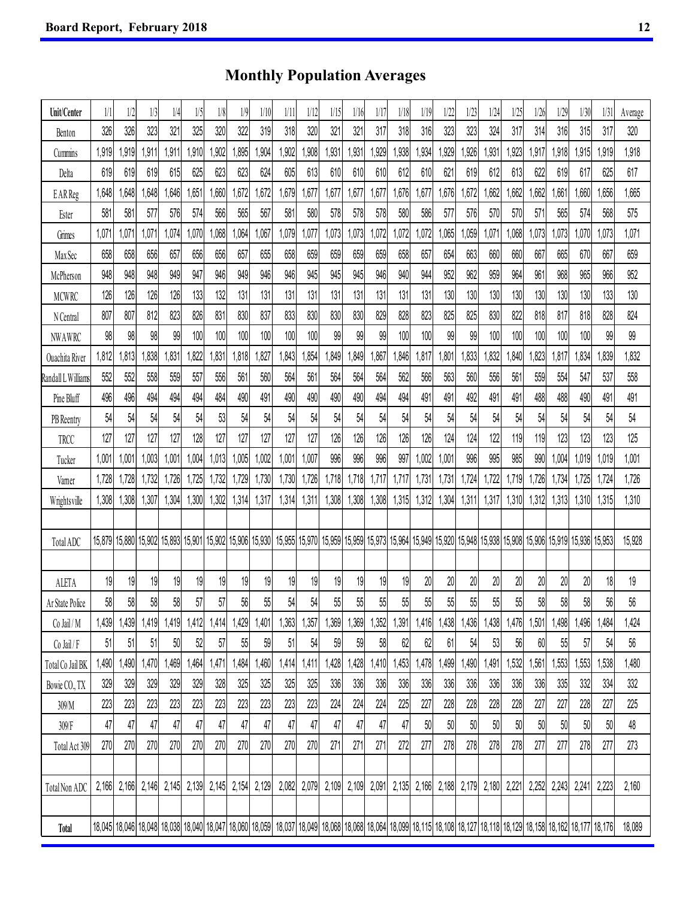## **Monthly Population Averages**

| Unit/Center           | 1/1    | 1/2   | 1/3   | 1/4                                                     | $\frac{1}{5}$ | 1/8   | 1/9                  | 1/10  | 1/11                                                                                                     | 1/12  | 1/15  | 1/16  | 1/17  | 1/18  | 1/19  | 1/22  | 1/23  | 1/24                                                                         | 1/25  | 1/26   | 1/29  | 1/30          | 1/31   | Average |
|-----------------------|--------|-------|-------|---------------------------------------------------------|---------------|-------|----------------------|-------|----------------------------------------------------------------------------------------------------------|-------|-------|-------|-------|-------|-------|-------|-------|------------------------------------------------------------------------------|-------|--------|-------|---------------|--------|---------|
| Benton                | 326    | 326   | 323   | 321                                                     | 325           | 320   | 322                  | 319   | 318                                                                                                      | 320   | 321   | 321   | 317   | 318   | 316   | 323   | 323   | 324                                                                          | 317   | 314    | 316   | 315           | 317    | 320     |
| Cummins               | 1,919  | 1,919 | 1,911 | 1,911                                                   | ,910          | 1,902 | 1,895                | 1,904 | ,902                                                                                                     | 1,908 | .931  | 1,931 | 1,929 | ,938  | .934  | .929  | .926  | 1,931                                                                        | .923  | .917   | 1,918 | 1,915         | 1.919  | 1,918   |
| Delta                 | 619    | 619   | 619   | 615                                                     | 625           | 623   | 623                  | 624   | 605                                                                                                      | 613   | 610   | 610   | 610   | 612   | 610   | 621   | 619   | 612                                                                          | 613   | 622    | 619   | 617           | 625    | 617     |
| E AR Reg              | 1,648  | .648  | 1,648 | ,646                                                    | ,651          | 1,660 | 1,672                | 1,672 | .679                                                                                                     | .67   | ,677  | 1,677 | 1,677 | .676  | ,677  | .676  | 1,672 | 1,662                                                                        | .662  | .662   | 1,661 | 1,660         | .656   | 1,665   |
| Ester                 | 581    | 581   | 577   | 576                                                     | 574           | 566   | 565                  | 567   | 581                                                                                                      | 580   | 578   | 578   | 578   | 580   | 586   | 577   | 576   | 570                                                                          | 570   | 571    | 565   | 574           | 568    | 575     |
| Grimes                | 1,071  | 1,071 | 1,07' | 1,074                                                   | ,070          | 1,068 | 1,064                | 1.067 | 1,079                                                                                                    | .07   | ,073  | 1,073 | 1,072 | ,072  | .072  | .065  | 1.059 | 1,07'                                                                        | 068   | ,073   | 1,073 | 1,070         | 1.073  | 1,071   |
| Max Sec               | 658    | 658   | 656   | 657                                                     | 656           | 656   | 65/                  | 655   | 658                                                                                                      | 659   | 659   | 659   | 659   | 658   | 657   | 654   | 663   | 660                                                                          | 660   | 667    | 665   | 670           | 667    | 659     |
| McPherson             | 948    | 948   | 948   | 949                                                     | 947           | 946   | 949                  | 946   | 946                                                                                                      | 945   | 945   | 945   | 946   | 940   | 944   | 952   | 962   | 959                                                                          | 964   | 961    | 968   | 965           | 966    | 952     |
| <b>MCWRC</b>          | 126    | 126   | 126   | 126                                                     | 133           | 132   | 131                  | 131   | 131                                                                                                      | 131   | 131   | 131   | 131   | 131   | 131   | 130   | 130   | 130                                                                          | 130   | 130    | 130   | 130           | 133    | 130     |
| N Central             | 807    | 807   | 812   | 823                                                     | 826           | 831   | 830                  | 837   | 833                                                                                                      | 830   | 830   | 830   | 829   | 828   | 823   | 825   | 825   | 830                                                                          | 822   | 818    | 817   | 818           | 828    | 824     |
| NWAWRC                | 98     | 98    | 98    | 99                                                      | 100           | 100   | 100                  | 100   | 100                                                                                                      | 100   | 99    | 99    | 99    | 100   | 100   | 99    | 99    | 100                                                                          | 100   | 100    | 100   | 100           | 99     | 99      |
| <b>Ouachita</b> River | 1,812  | 1,813 | 1,838 | 1,831                                                   | ,822          | 1,831 | 1,818                | 1,827 | ,843                                                                                                     | ,854  | ,849  | ,849  | ,867  | ,846  | ,817  | 1,801 | 1,833 | 1,832                                                                        | ,840  | ,823   | 1,817 | 1,834         | 1,839  | 1,832   |
| Randall L Williams    | 552    | 552   | 558   | 559                                                     | 557           | 556   | 56'                  | 560   | 564                                                                                                      | 561   | 564   | 564   | 564   | 562   | 566   | 563   | 560   | 556                                                                          | 561   | 559    | 554   | 547           | 537    | 558     |
| Pine Bluff            | 496    | 496   | 494   | 494                                                     | 494           | 484   | 490                  | 491   | 490                                                                                                      | 490   | 490   | 490   | 494   | 494   | 491   | 491   | 492   | 491                                                                          | 491   | 488    | 488   | 490           | 491    | 491     |
| PB Reentry            | 54     | 54    | 54    | 54                                                      | 54            | 53    | 54                   | 54    | 54                                                                                                       | 54    | 54    | 54    | 54    | 54    | 54    | 54    | 54    | 54                                                                           | 54    | 54     | 54    | 54            | 54     | 54      |
| TRCC                  | 127    | 127   | 127   | 127                                                     | 128           | 127   | 127                  | 127   | 127                                                                                                      | 127   | 126   | 126   | 126   | 126   | 126   | 124   | 124   | 122                                                                          | 119   | 119    | 123   | 123           | 123    | 125     |
| Tucker                | 1,001  | 1,001 | 1,003 | 1,001                                                   | 1,004         | 1,013 | 1,005                | 1,002 | 1,001                                                                                                    | 1,007 | 996   | 996   | 996   | 997   | 1,002 | 1,001 | 996   | 995                                                                          | 985   | 990    | 1,004 | 1,019         | 1,019  | 1,001   |
| Vamer                 | 1,728  | 1,728 | 1,732 | 1,726                                                   | ,725          | 1,732 | 1,729                | 1,730 | 1,730                                                                                                    | 1,726 | 1,718 | 1,718 | 1,717 | 1,717 | 1,731 | 1,731 | 1,724 | 1,722                                                                        | 1,719 | 1,726  | 1,734 | 1,725         | 1,724  | 1,726   |
| Wrightsville          | 1,308  | 1,308 | 1,307 | 1,304                                                   | ,300          | 1,302 | 1,314                | 1,317 | 1,314                                                                                                    | 1,311 | 1,308 | 1,308 | 1,308 | 1,315 | 1,312 | 1,304 | 1,31' | 1,317                                                                        | 1,310 | 1,312  | 1,313 | 1,310         | 1,315  | 1,310   |
|                       |        |       |       |                                                         |               |       |                      |       |                                                                                                          |       |       |       |       |       |       |       |       |                                                                              |       |        |       |               |        |         |
| Total ADC             | 15,879 |       |       | 15,880 15,902 15,893                                    | 15,901        |       | 15,902 15,906 15,930 |       |                                                                                                          |       |       |       |       |       |       |       |       | 15,955 15,970 15,959 15,959 15,973 15,964 15,949 15,920 15,948 15,938 15,908 |       | 15,906 |       | 15,919 15,936 | 15,953 | 15,928  |
|                       |        |       |       |                                                         |               |       |                      |       |                                                                                                          |       |       |       |       |       |       |       |       |                                                                              |       |        |       |               |        |         |
| ALETA                 | 19     | 9     | 19    | 19                                                      | 19            | 19    | 19                   | 19    | 19                                                                                                       | 19    | 19    | 19    | 19    | 19    | 20    | 20    | 20    | 20                                                                           | 20    | 20     | 20    | 20            | 18     | 19      |
| Ar State Police       | 58     | 58    | 58    | 58                                                      | 57            | 57    | 56                   | 55    | 54                                                                                                       | 54    | 55    | 55    | 55    | 55    | 55    | 55    | 55    | 55                                                                           | 55    | 58     | 58    | 58            | 56     | 56      |
| Co Jail / M           | 1,439  | 1,439 | 1,419 | 1,419                                                   | 1,412         | 1,414 | 1,429                | 1,401 | 1,363                                                                                                    | 1,357 | ,369  | 1,369 | 1,352 | 1,391 | 1,416 | 1,438 | 1,436 | 1,438                                                                        | 1,476 | ,501   | 1,498 | 1,496         | ,484   | 1,424   |
| Co Jail/F             | 51     | 51    | 51    | 50                                                      | 52            | 57    | 55                   | 59    | 51                                                                                                       | 54    | 59    | 59    | 58    | 62    | 62    | 61    | 54    | 53                                                                           | 56    | 60     | 55    | 57            | 54     | 56      |
| Total Co Jail BK      | ,490   | 1,490 | 1,470 | 1,469                                                   | ,464          | 1,471 | 1,484                | 1,460 | 1,414                                                                                                    | 1,411 | ,428  | ,428  | 1,410 | 1,453 | ,478  | 1,499 | ,490  | 1,491                                                                        | 1,532 | ,561   | 1,553 | 1,553         | 1,538  | 1,480   |
| Bowie CO., TX         | 329    | 329   | 329   | 329                                                     | 329           | 328   | 325                  | 325   | 325                                                                                                      | 325   | 336   | 336   | 336   | 336   | 336   | 336   | 336   | 336                                                                          | 336   | 336    | 335   | 332           | 334    | 332     |
| 309/M                 | 223    | 223   | 223   | 223                                                     | 223           | 223   | 223                  | 223   | 223                                                                                                      | 223   | 224   | 224   | 224   | 225   | 227   | 228   | 228   | 228                                                                          | 228   | 227    | 227   | 228           | 227    | 225     |
| 309/F                 | 47     | 47    | 47    | 47                                                      | 47            | 47    | 47                   | 47    | 47                                                                                                       | 47    | 47    | 47    | 47    | 47    | 50    | 50    | 50    | 50                                                                           | 50    | 50     | 50    | 50            | 50     | 48      |
| Total Act 309         | 270    | 270   | 270   | 270                                                     | 270           | 270   | 270                  | 270   | 270                                                                                                      | 270   | 271   | 271   | 271   | 272   | 277   | 278   | 278   | 278                                                                          | 278   | 277    | 277   | 278           | 277    | 273     |
|                       |        |       |       |                                                         |               |       |                      |       |                                                                                                          |       |       |       |       |       |       |       |       |                                                                              |       |        |       |               |        |         |
| Total Non ADC         | 2,166  | 2,166 | 2,146 | 2,145                                                   | 2,139         | 2,145 | 2,154                | 2,129 | 2,082                                                                                                    | 2,079 | 2,109 | 2,109 | 2,091 | 2,135 | 2,166 | 2,188 | 2,179 | 2,180                                                                        | 2,221 | 2,252  | 2,243 | 2,241         | 2,223  | 2,160   |
|                       |        |       |       |                                                         |               |       |                      |       |                                                                                                          |       |       |       |       |       |       |       |       |                                                                              |       |        |       |               |        |         |
| Total                 |        |       |       | 18,045 18,046 18,048 18,038 18,040 18,047 18,060 18,059 |               |       |                      |       | 18,037 18,049 18,068 18,068 18,064 18,099 18,115 18,108 18,127 18,118 18,129 18,158 18,162 18,177 18,176 |       |       |       |       |       |       |       |       |                                                                              |       |        |       |               |        | 18,089  |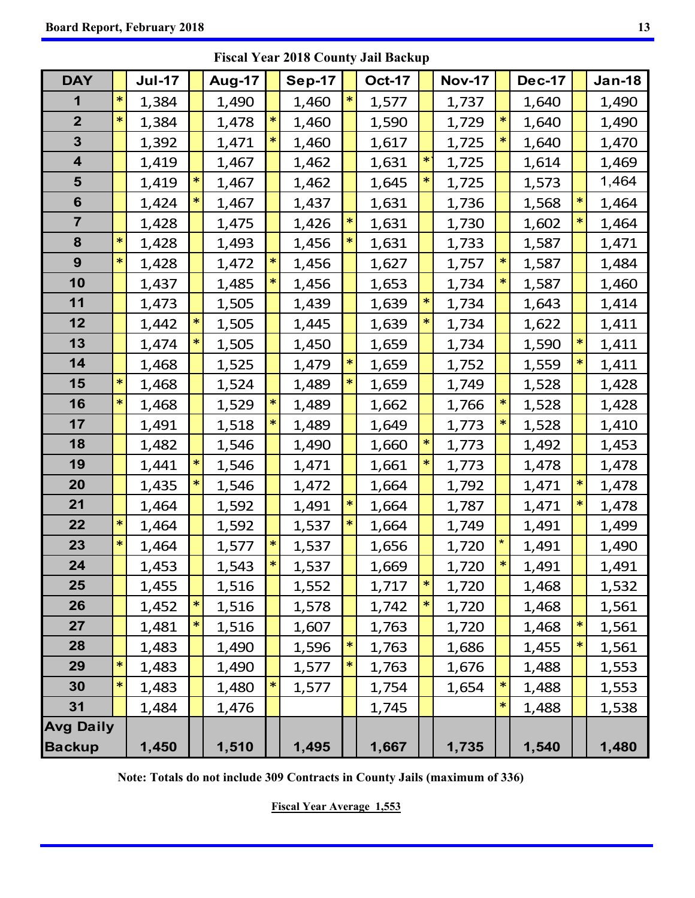| <b>DAY</b>              |        | <b>Jul-17</b> | Aug-17 |        | <b>Sep-17</b> | <b>Oct-17</b> |   | <b>Nov-17</b> |   | <b>Dec-17</b> |        | <b>Jan-18</b> |
|-------------------------|--------|---------------|--------|--------|---------------|---------------|---|---------------|---|---------------|--------|---------------|
| 1                       | *      | 1,384         | 1,490  |        | 1,460         | 1,577         |   | 1,737         |   | 1,640         |        | 1,490         |
| $\overline{2}$          | $\ast$ | 1,384         | 1,478  | $\ast$ | 1,460         | 1,590         |   | 1,729         |   | 1,640         |        | 1,490         |
| $\mathbf{3}$            |        | 1,392         | 1,471  | $\ast$ | 1,460         | 1,617         |   | 1,725         |   | 1,640         |        | 1,470         |
| 4                       |        | 1,419         | 1,467  |        | 1,462         | 1,631         | ∗ | 1,725         |   | 1,614         |        | 1,469         |
| 5                       |        | 1,419         | 1,467  |        | 1,462         | 1,645         |   | 1,725         |   | 1,573         |        | 1,464         |
| 6                       |        | 1,424         | 1,467  |        | 1,437         | 1,631         |   | 1,736         |   | 1,568         | *      | 1,464         |
| $\overline{\mathbf{z}}$ |        | 1,428         | 1,475  |        | 1,426         | 1,631         |   | 1,730         |   | 1,602         | *      | 1,464         |
| 8                       | *      | 1,428         | 1,493  |        | 1,456         | 1,631         |   | 1,733         |   | 1,587         |        | 1,471         |
| 9                       | ∗      | 1,428         | 1,472  | *      | 1,456         | 1,627         |   | 1,757         |   | 1,587         |        | 1,484         |
| 10                      |        | 1,437         | 1,485  | *      | 1,456         | 1,653         |   | 1,734         |   | 1,587         |        | 1,460         |
| 11                      |        | 1,473         | 1,505  |        | 1,439         | 1,639         | ∗ | 1,734         |   | 1,643         |        | 1,414         |
| 12                      |        | 1,442         | 1,505  |        | 1,445         | 1,639         | * | 1,734         |   | 1,622         |        | 1,411         |
| 13                      |        | 1,474         | 1,505  |        | 1,450         | 1,659         |   | 1,734         |   | 1,590         | $\ast$ | 1,411         |
| 14                      |        | 1,468         | 1,525  |        | 1,479         | 1,659         |   | 1,752         |   | 1,559         | $\ast$ | 1,411         |
| 15                      | ∗      | 1,468         | 1,524  |        | 1,489         | 1,659         |   | 1,749         |   | 1,528         |        | 1,428         |
| 16                      | $\ast$ | 1,468         | 1,529  | $\ast$ | 1,489         | 1,662         |   | 1,766         |   | 1,528         |        | 1,428         |
| 17                      |        | 1,491         | 1,518  | ∗      | 1,489         | 1,649         |   | 1,773         |   | 1,528         |        | 1,410         |
| 18                      |        | 1,482         | 1,546  |        | 1,490         | 1,660         | ∗ | 1,773         |   | 1,492         |        | 1,453         |
| 19                      |        | 1,441         | 1,546  |        | 1,471         | 1,661         |   | 1,773         |   | 1,478         |        | 1,478         |
| 20                      |        | 1,435         | 1,546  |        | 1,472         | 1,664         |   | 1,792         |   | 1,471         | ∗      | 1,478         |
| 21                      |        | 1,464         | 1,592  |        | 1,491         | 1,664         |   | 1,787         |   | 1,471         |        | 1,478         |
| 22                      |        | 1,464         | 1,592  |        | 1,537         | 1,664         |   | 1,749         |   | 1,491         |        | 1,499         |
| 23                      |        | 1,464         | 1,577  | $\ast$ | 1,537         | 1,656         |   | 1,720         |   | 1,491         |        | 1,490         |
| 24                      |        | 1,453         | 1,543  | $\ast$ | 1,537         | 1,669         |   | 1,720         |   | 1,491         |        | 1,491         |
| 25                      |        | 1,455         | 1,516  |        | 1,552         | 1,717         | ∗ | 1,720         |   | 1,468         |        | 1,532         |
| 26                      |        | 1,452         | 1,516  |        | 1,578         | 1,742         |   | 1,720         |   | 1,468         |        | 1,561         |
| 27                      |        | 1,481         | 1,516  |        | 1,607         | 1,763         |   | 1,720         |   | 1,468         |        | 1,561         |
| 28                      |        | 1,483         | 1,490  |        | 1,596         | 1,763         |   | 1,686         |   | 1,455         | *      | 1,561         |
| 29                      | *      | 1,483         | 1,490  |        | 1,577         | 1,763         |   | 1,676         |   | 1,488         |        | 1,553         |
| 30                      | *      | 1,483         | 1,480  | ∗      | 1,577         | 1,754         |   | 1,654         | * | 1,488         |        | 1,553         |
| 31                      |        | 1,484         | 1,476  |        |               | 1,745         |   |               | * | 1,488         |        | 1,538         |
| <b>Avg Daily</b>        |        |               |        |        |               |               |   |               |   |               |        |               |
| <b>Backup</b>           |        | 1,450         | 1,510  |        | 1,495         | 1,667         |   | 1,735         |   | 1,540         |        | 1,480         |

**Fiscal Year 2018 County Jail Backup** 

**Note: Totals do not include 309 Contracts in County Jails (maximum of 336)** 

**Fiscal Year Average 1,553**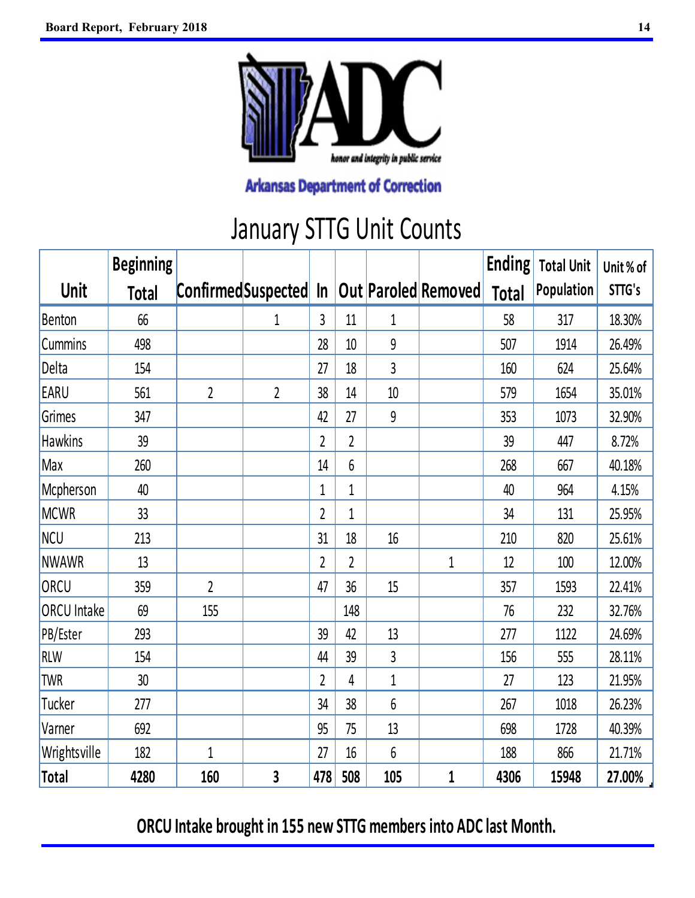

# January STTG Unit Counts

|                    | <b>Beginning</b> |                     |                |                |                |                |                     | <b>Ending</b> | <b>Total Unit</b> | Unit % of |
|--------------------|------------------|---------------------|----------------|----------------|----------------|----------------|---------------------|---------------|-------------------|-----------|
| Unit               | <b>Total</b>     | Confirmed Suspected |                | $\ln$          |                |                | Out Paroled Removed | <b>Total</b>  | Population        | STTG's    |
| Benton             | 66               |                     | 1              | 3              | 11             | 1              |                     | 58            | 317               | 18.30%    |
| <b>Cummins</b>     | 498              |                     |                | 28             | 10             | $\overline{9}$ |                     | 507           | 1914              | 26.49%    |
| Delta              | 154              |                     |                | 27             | 18             | 3              |                     | 160           | 624               | 25.64%    |
| EARU               | 561              | $\overline{2}$      | $\overline{2}$ | 38             | 14             | 10             |                     | 579           | 1654              | 35.01%    |
| Grimes             | 347              |                     |                | 42             | 27             | 9              |                     | 353           | 1073              | 32.90%    |
| <b>Hawkins</b>     | 39               |                     |                | 2              | 2              |                |                     | 39            | 447               | 8.72%     |
| Max                | 260              |                     |                | 14             | 6              |                |                     | 268           | 667               | 40.18%    |
| Mcpherson          | 40               |                     |                | $\mathbf 1$    | $\mathbf 1$    |                |                     | 40            | 964               | 4.15%     |
| <b>MCWR</b>        | 33               |                     |                | $\overline{2}$ | 1              |                |                     | 34            | 131               | 25.95%    |
| <b>NCU</b>         | 213              |                     |                | 31             | 18             | 16             |                     | 210           | 820               | 25.61%    |
| <b>NWAWR</b>       | 13               |                     |                | $\overline{2}$ | $\overline{2}$ |                | 1                   | 12            | 100               | 12.00%    |
| ORCU               | 359              | $\overline{2}$      |                | 47             | 36             | 15             |                     | 357           | 1593              | 22.41%    |
| <b>ORCU</b> Intake | 69               | 155                 |                |                | 148            |                |                     | 76            | 232               | 32.76%    |
| PB/Ester           | 293              |                     |                | 39             | 42             | 13             |                     | 277           | 1122              | 24.69%    |
| <b>RLW</b>         | 154              |                     |                | 44             | 39             | $\overline{3}$ |                     | 156           | 555               | 28.11%    |
| <b>TWR</b>         | 30               |                     |                | $\overline{2}$ | 4              | 1              |                     | 27            | 123               | 21.95%    |
| Tucker             | 277              |                     |                | 34             | 38             | 6              |                     | 267           | 1018              | 26.23%    |
| Varner             | 692              |                     |                | 95             | 75             | 13             |                     | 698           | 1728              | 40.39%    |
| Wrightsville       | 182              | $\mathbf{1}$        |                | 27             | 16             | 6              |                     | 188           | 866               | 21.71%    |
| Total              | 4280             | 160                 | 3              | 478            | 508            | 105            | 1                   | 4306          | 15948             | 27.00%    |

**ORCU Intake brought in 155 new STTG members into ADC last Month.**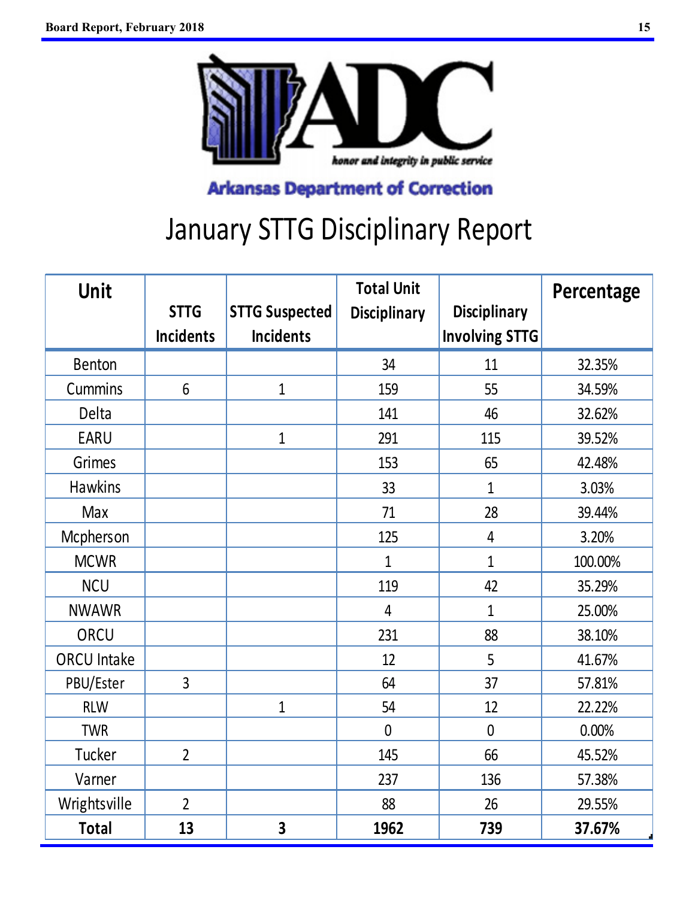

# January STTG Disciplinary Report

| Unit               | <b>STTG</b>      | <b>STTG Suspected</b>   | <b>Total Unit</b><br><b>Disciplinary</b> | <b>Disciplinary</b>   | Percentage |
|--------------------|------------------|-------------------------|------------------------------------------|-----------------------|------------|
|                    | <b>Incidents</b> | <b>Incidents</b>        |                                          | <b>Involving STTG</b> |            |
| <b>Benton</b>      |                  |                         | 34                                       | 11                    | 32.35%     |
| Cummins            | $6\phantom{1}$   | $\mathbf{1}$            | 159                                      | 55                    | 34.59%     |
| Delta              |                  |                         | 141                                      | 46                    | 32.62%     |
| EARU               |                  | $\overline{1}$          | 291                                      | 115                   | 39.52%     |
| Grimes             |                  |                         | 153                                      | 65                    | 42.48%     |
| <b>Hawkins</b>     |                  |                         | 33                                       | $\mathbf{1}$          | 3.03%      |
| Max                |                  |                         | 71                                       | 28                    | 39.44%     |
| Mcpherson          |                  |                         | 125                                      | $\overline{4}$        | 3.20%      |
| <b>MCWR</b>        |                  |                         | $\overline{1}$                           | $\mathbf{1}$          | 100.00%    |
| <b>NCU</b>         |                  |                         | 119                                      | 42                    | 35.29%     |
| <b>NWAWR</b>       |                  |                         | 4                                        | $\mathbf{1}$          | 25.00%     |
| ORCU               |                  |                         | 231                                      | 88                    | 38.10%     |
| <b>ORCU Intake</b> |                  |                         | 12                                       | 5                     | 41.67%     |
| PBU/Ester          | 3                |                         | 64                                       | 37                    | 57.81%     |
| <b>RLW</b>         |                  | $\mathbf{1}$            | 54                                       | 12                    | 22.22%     |
| <b>TWR</b>         |                  |                         | $\mathbf 0$                              | $\mathbf{0}$          | 0.00%      |
| Tucker             | $\overline{2}$   |                         | 145                                      | 66                    | 45.52%     |
| Varner             |                  |                         | 237                                      | 136                   | 57.38%     |
| Wrightsville       | $\overline{2}$   |                         | 88                                       | 26                    | 29.55%     |
| <b>Total</b>       | 13               | $\overline{\mathbf{3}}$ | 1962                                     | 739                   | 37.67%     |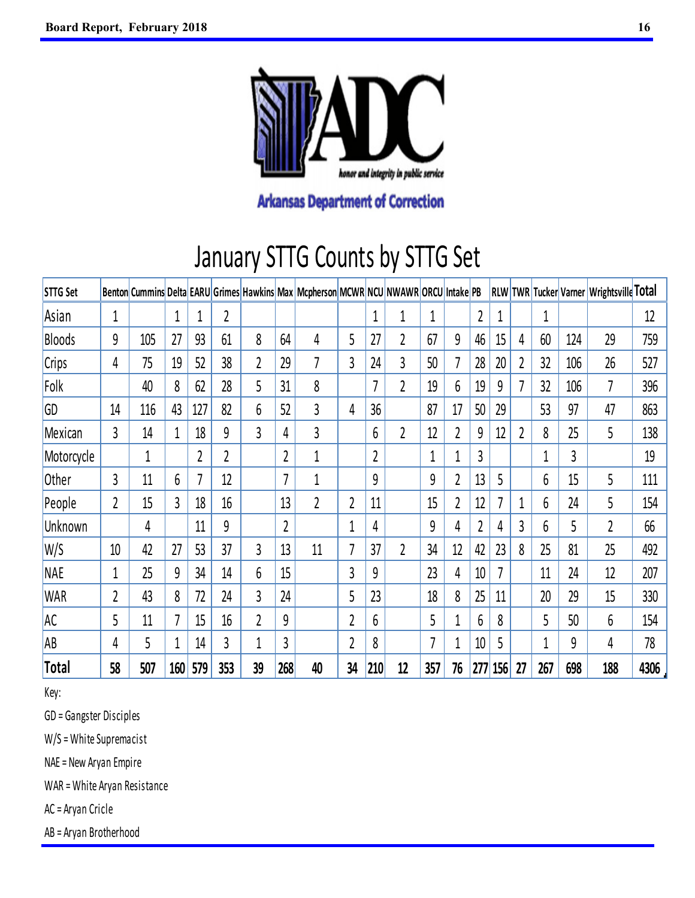

# January STTG Counts by STTG Set

| <b>STTG Set</b> |                |     |     |                |     |    |     | Benton Cummins Delta EARU Grimes Hawkins Max Mcpherson MCWR NCU NWAWR |                |                |    |     | ORCU Intake PB |                |     |    |     | <b>RLW</b> TWR Tucker Varner | <b>Wrightsville Total</b> |      |
|-----------------|----------------|-----|-----|----------------|-----|----|-----|-----------------------------------------------------------------------|----------------|----------------|----|-----|----------------|----------------|-----|----|-----|------------------------------|---------------------------|------|
| Asian           | 1              |     | 1   |                | 2   |    |     |                                                                       |                | 1              |    | 1   |                | 2              |     |    | 1   |                              |                           | 12   |
| <b>Bloods</b>   | 9              | 105 | 27  | 93             | 61  | 8  | 64  | 4                                                                     | 5              | 27             | 2  | 67  | 9              | 46             | 15  | 4  | 60  | 124                          | 29                        | 759  |
| Crips           | 4              | 75  | 19  | 52             | 38  | 2  | 29  | 7                                                                     | 3              | 24             | 3  | 50  |                | 28             | 20  | 2  | 32  | 106                          | 26                        | 527  |
| Folk            |                | 40  | 8   | 62             | 28  | 5  | 31  | 8                                                                     |                | 7              | 2  | 19  | 6              | 19             | 9   | 7  | 32  | 106                          | 7                         | 396  |
| GD              | 14             | 116 | 43  | 127            | 82  | 6  | 52  | $\overline{3}$                                                        | 4              | 36             |    | 87  | 17             | 50             | 29  |    | 53  | 97                           | 47                        | 863  |
| Mexican         | 3              | 14  | 1   | 18             | 9   | 3  | 4   | 3                                                                     |                | 6              | 2  | 12  | 2              | 9              | 12  | 2  | 8   | 25                           | 5                         | 138  |
| Motorcycle      |                | 1   |     | $\overline{2}$ | 2   |    | 2   | 1                                                                     |                | $\overline{2}$ |    | 1   | 1              | 3              |     |    | 1   | 3                            |                           | 19   |
| Other           | 3              | 11  | 6   | 7              | 12  |    | 7   | 1                                                                     |                | 9              |    | 9   | 2              | 13             | 5   |    | 6   | 15                           | 5                         | 111  |
| People          | 2              | 15  | 3   | 18             | 16  |    | 13  | $\overline{2}$                                                        | $\overline{2}$ | 11             |    | 15  | 2              | 12             |     | 1  | 6   | 24                           | 5                         | 154  |
| Unknown         |                | 4   |     | 11             | 9   |    | 2   |                                                                       |                | 4              |    | 9   | 4              | $\overline{2}$ | 4   | 3  | 6   | 5                            | 2                         | 66   |
| W/S             | 10             | 42  | 27  | 53             | 37  | 3  | 13  | 11                                                                    | 7              | 37             | 2  | 34  | 12             | 42             | 23  | 8  | 25  | 81                           | 25                        | 492  |
| <b>NAE</b>      | 1              | 25  | 9   | 34             | 14  | 6  | 15  |                                                                       | 3              | 9              |    | 23  | 4              | 10             | 7   |    | 11  | 24                           | 12                        | 207  |
| <b>WAR</b>      | $\overline{2}$ | 43  | 8   | 72             | 24  | 3  | 24  |                                                                       | 5              | 23             |    | 18  | 8              | 25             | 11  |    | 20  | 29                           | 15                        | 330  |
| AC              | 5              | 11  | 7   | 15             | 16  | 2  | 9   |                                                                       | $\overline{2}$ | 6              |    | 5   | 1              | 6              | 8   |    | 5   | 50                           | 6                         | 154  |
| AB              | 4              | 5   |     | 14             | 3   | 1  | 3   |                                                                       | $\overline{2}$ | 8              |    | 7   |                | 10             | 5   |    | 1   | 9                            | 4                         | 78   |
| Total           | 58             | 507 | 160 | 579            | 353 | 39 | 268 | 40                                                                    | 34             | 210            | 12 | 357 | 76             | 277            | 156 | 27 | 267 | 698                          | 188                       | 4306 |

Key:

GD = Gangster Di sciples

W/S = White Supremacist

NAE = New Aryan Empire

WAR = White Aryan Resistance

AC = Aryan Cricle

AB = Aryan Brotherhood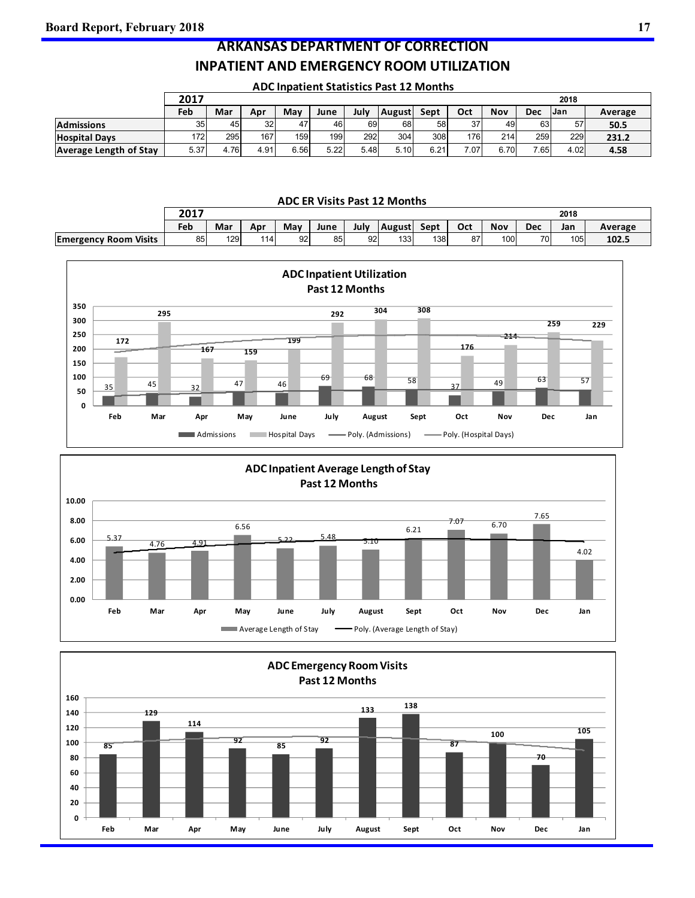### **ARKANSAS DEPARTMENT OF CORRECTION**

### **INPATIENT AND EMERGENCY ROOM UTILIZATION**

|                               | 2017 |      |                 |      |      |      |               |      |            |                  |            | 2018 |         |
|-------------------------------|------|------|-----------------|------|------|------|---------------|------|------------|------------------|------------|------|---------|
|                               | Feb  | Mar  | Apr             | May  | June | July | <b>August</b> | Sept | <b>Oct</b> | Nov              | <b>Dec</b> | IJan | Average |
| <b>Admissions</b>             | 35   | 45   | 32 <sub>l</sub> | 47   | 46   | 69   | 68I           | 58   | 37         | 49               | 63         | 57   | 50.5    |
| <b>Hospital Davs</b>          | 1721 | 295  | 167             | 159  | 199  | 292  | 304           | 308  | 176I       | 214 <sub>1</sub> | 259        | 229  | 231.2   |
| <b>Average Length of Stay</b> | 5.37 | 4.76 | 4.91            | 6.56 | 5.22 | 5.48 | 5.10          | 6.21 | 7.07       | 6.70             | 7.65       | 4.02 | 4.58    |

#### **ADC Inpatient Statistics Past 12 Months**

**ADC ER Visits Past 12 Months**

|                              | 2017 |     |      |                 |      |      |        |      |     |     |            | 2018             |         |
|------------------------------|------|-----|------|-----------------|------|------|--------|------|-----|-----|------------|------------------|---------|
|                              | Feb  | Mar | Apr  | Mav             | June | July | August | Sept | Oct | Nov | <b>Dec</b> | Jan              | Average |
| <b>Emergency Room Visits</b> | 85   | 129 | 1141 | 92 <sub>l</sub> | 85   | 92   | 133    | 1381 | 87  | 100 | 701        | 105 <sub>1</sub> | 102.5   |





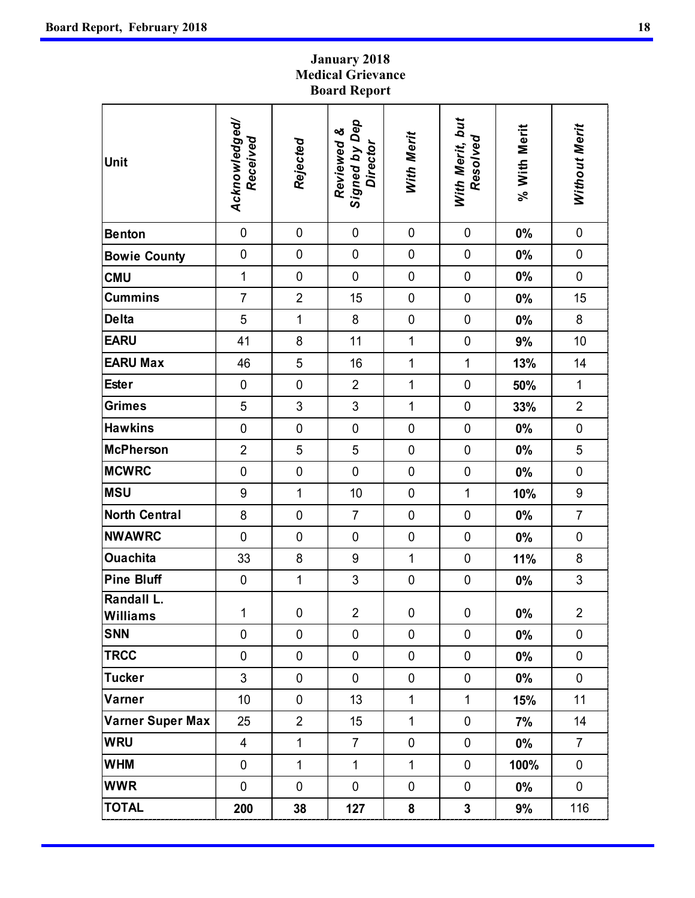## **January 2018 Medical Grievance Board Report**

| Unit                   | Acknowledged/<br>Received | Rejected       | Signed by Dep<br>Director<br>Reviewed & | <b>With Merit</b> | With Merit, but<br><b>Resolved</b> | % With Merit | Without Merit    |
|------------------------|---------------------------|----------------|-----------------------------------------|-------------------|------------------------------------|--------------|------------------|
| <b>Benton</b>          | $\pmb{0}$                 | $\pmb{0}$      | $\pmb{0}$                               | $\pmb{0}$         | $\pmb{0}$                          | $0\%$        | $\pmb{0}$        |
| <b>Bowie County</b>    | $\pmb{0}$                 | $\pmb{0}$      | $\pmb{0}$                               | $\pmb{0}$         | $\pmb{0}$                          | 0%           | $\pmb{0}$        |
| <b>CMU</b>             | $\mathbf 1$               | $\pmb{0}$      | $\mathbf 0$                             | $\mathbf 0$       | $\mathbf 0$                        | $0\%$        | $\pmb{0}$        |
| <b>Cummins</b>         | $\overline{7}$            | $\overline{2}$ | 15                                      | $\pmb{0}$         | $\mathbf 0$                        | $0\%$        | 15               |
| Delta                  | 5                         | 1              | 8                                       | $\pmb{0}$         | $\mathbf 0$                        | 0%           | 8                |
| <b>EARU</b>            | 41                        | 8              | 11                                      | $\mathbf{1}$      | $\pmb{0}$                          | 9%           | 10               |
| <b>EARU Max</b>        | 46                        | $\sqrt{5}$     | 16                                      | $\mathbf 1$       | $\mathbf 1$                        | 13%          | 14               |
| <b>Ester</b>           | $\pmb{0}$                 | $\pmb{0}$      | $\overline{2}$                          | $\mathbf 1$       | $\mathbf 0$                        | 50%          | $\mathbf 1$      |
| <b>Grimes</b>          | 5                         | $\mathfrak{S}$ | $\mathfrak{S}$                          | $\mathbf{1}$      | $\mathbf 0$                        | 33%          | $\overline{2}$   |
| <b>Hawkins</b>         | $\pmb{0}$                 | $\pmb{0}$      | $\pmb{0}$                               | $\mathbf 0$       | $\pmb{0}$                          | 0%           | $\pmb{0}$        |
| McPherson              | $\overline{2}$            | 5              | $\sqrt{5}$                              | $\pmb{0}$         | $\pmb{0}$                          | $0\%$        | 5                |
| <b>MCWRC</b>           | $\mathbf 0$               | $\pmb{0}$      | $\pmb{0}$                               | $\mathbf 0$       | $\pmb{0}$                          | $0\%$        | $\mathbf 0$      |
| <b>MSU</b>             | 9                         | $\mathbf{1}$   | 10                                      | $\mathbf 0$       | $\mathbf 1$                        | 10%          | $\boldsymbol{9}$ |
| North Central          | 8                         | $\pmb{0}$      | $\overline{7}$                          | $\pmb{0}$         | $\pmb{0}$                          | $0\%$        | $\overline{7}$   |
| <b>NWAWRC</b>          | $\mathbf 0$               | $\pmb{0}$      | $\pmb{0}$                               | $\mathbf 0$       | $\mathbf 0$                        | 0%           | $\pmb{0}$        |
| Ouachita               | 33                        | 8              | $\boldsymbol{9}$                        | $\mathbf 1$       | $\pmb{0}$                          | 11%          | $\bf 8$          |
| Pine Bluff             | $\pmb{0}$                 | 1              | $\mathsf 3$                             | $\pmb{0}$         | $\pmb{0}$                          | $0\%$        | 3                |
| Randall L.<br>Williams | 1                         | $\mathbf 0$    | $\overline{2}$                          | $\mathbf 0$       | $\mathbf 0$                        | $0\%$        | $\overline{2}$   |
| SNN                    | $\pmb{0}$                 | $\mathbf 0$    | $\pmb{0}$                               | $\pmb{0}$         | $\pmb{0}$                          | $0\%$        | $\pmb{0}$        |
| <b>TRCC</b>            | 0                         | 0              | 0                                       | $\mathbf 0$       | $\pmb{0}$                          | $0\%$        | $\mathbf 0$      |
| Tucker                 | 3                         | $\mathbf 0$    | 0                                       | $\mathbf 0$       | 0                                  | 0%           | $\mathbf 0$      |
| Varner                 | 10                        | 0              | 13                                      | $\mathbf{1}$      | $\mathbf{1}$                       | 15%          | 11               |
| Varner Super Max       | 25                        | $\overline{2}$ | 15                                      | $\mathbf{1}$      | 0                                  | 7%           | 14               |
| <b>WRU</b>             | $\overline{4}$            | $\mathbf{1}$   | $\overline{7}$                          | $\pmb{0}$         | $\mathbf 0$                        | $0\%$        | $\overline{7}$   |
| <b>WHM</b>             | 0                         | $\mathbf{1}$   | 1                                       | $\mathbf{1}$      | 0                                  | 100%         | $\mathbf 0$      |
| <b>WWR</b>             | 0                         | 0              | 0                                       | $\mathbf 0$       | 0                                  | $0\%$        | $\mathbf 0$      |
| <b>TOTAL</b>           | 200                       | 38             | 127                                     | $\bf{8}$          | 3                                  | 9%           | 116              |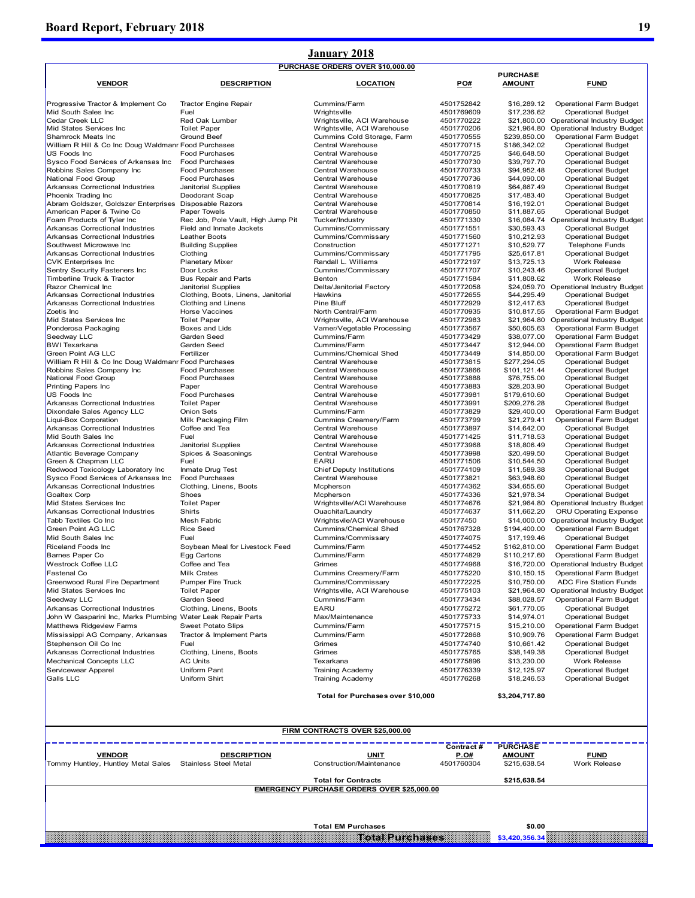#### **Board Report, February 2018** 19

### **January 2018**

|                                                                                   |                                           | PURCHASE ORDERS OVER \$10,000.00                |                          |                                  |                                                        |
|-----------------------------------------------------------------------------------|-------------------------------------------|-------------------------------------------------|--------------------------|----------------------------------|--------------------------------------------------------|
| <b>VENDOR</b>                                                                     | <b>DESCRIPTION</b>                        | <b>LOCATION</b>                                 | PO#                      | <b>PURCHASE</b><br><b>AMOUNT</b> | <b>FUND</b>                                            |
| Progressive Tractor & Implement Co                                                | <b>Tractor Engine Repair</b>              | Cummins/Farm                                    | 4501752842               | \$16,289.12                      | Operational Farm Budget                                |
| Mid South Sales Inc                                                               | Fuel                                      | Wrightsville                                    | 4501769609               | \$17,236.62                      | <b>Operational Budget</b>                              |
| Cedar Creek LLC                                                                   | Red Oak Lumber                            | Wrightsville, ACI Warehouse                     | 4501770222               |                                  | \$21,800.00 Operational Industry Budget                |
| Mid States Services Inc                                                           | <b>Toilet Paper</b>                       | Wrightsville, ACI Warehouse                     | 4501770206               | \$21,964.80                      | Operational Industry Budget                            |
| Shamrock Meats Inc<br>William R Hill & Co Inc Doug Waldmanr Food Purchases        | Ground Beef                               | Cummins Cold Storage, Farm<br>Central Warehouse | 4501770555<br>4501770715 | \$239,850.00<br>\$186,342.02     | Operational Farm Budget<br><b>Operational Budget</b>   |
| US Foods Inc                                                                      | Food Purchases                            | Central Warehouse                               | 4501770725               | \$46,648.50                      | <b>Operational Budget</b>                              |
| Sysco Food Services of Arkansas Inc Food Purchases                                |                                           | Central Warehouse                               | 4501770730               | \$39,797.70                      | <b>Operational Budget</b>                              |
| Robbins Sales Company Inc                                                         | Food Purchases                            | Central Warehouse                               | 4501770733               | \$94,952.48                      | <b>Operational Budget</b>                              |
| National Food Group                                                               | <b>Food Purchases</b>                     | Central Warehouse                               | 4501770736               | \$44,090.00<br>\$64,867.49       | <b>Operational Budget</b>                              |
| <b>Arkansas Correctional Industries</b><br>Phoenix Trading Inc                    | Janitorial Supplies<br>Deodorant Soap     | Central Warehouse<br>Central Warehouse          | 4501770819<br>4501770825 | \$17,483.40                      | <b>Operational Budget</b><br><b>Operational Budget</b> |
| Abram Goldszer, Goldszer Enterprises Disposable Razors                            |                                           | Central Warehouse                               | 4501770814               | \$16,192.01                      | <b>Operational Budget</b>                              |
| American Paper & Twine Co                                                         | Paper Towels                              | Central Warehouse                               | 4501770850               | \$11,887.65                      | <b>Operational Budget</b>                              |
| Foam Products of Tyler Inc                                                        | Rec Job, Pole Vault, High Jump Pit        | Tucker/Industry                                 | 4501771330               |                                  | \$16,084.74 Operational Industry Budget                |
| Arkansas Correctional Industries                                                  | Field and Inmate Jackets                  | Cummins/Commissary                              | 4501771551               | \$30,593.43                      | <b>Operational Budget</b>                              |
| <b>Arkansas Correctional Industries</b><br>Southwest Microwave Inc                | Leather Boots                             | Cummins/Commissary<br>Construction              | 4501771560               | \$10,212.93                      | <b>Operational Budget</b>                              |
| Arkansas Correctional Industries                                                  | <b>Building Supplies</b><br>Clothing      | Cummins/Commissary                              | 4501771271<br>4501771795 | \$10,529.77<br>\$25,617.81       | <b>Telephone Funds</b><br><b>Operational Budget</b>    |
| <b>CVK</b> Enterprises Inc                                                        | <b>Planetary Mixer</b>                    | Randall L. Williams                             | 4501772197               | \$13,725.13                      | Work Release                                           |
| Sentry Security Fasteners Inc                                                     | Door Locks                                | Cummins/Commissary                              | 4501771707               | \$10,243.46                      | <b>Operational Budget</b>                              |
| Timberline Truck & Tractor                                                        | <b>Bus Repair and Parts</b>               | Benton                                          | 4501771584               | \$11,808.62                      | Work Release                                           |
| Razor Chemical Inc                                                                | Janitorial Supplies                       | Delta/Janitorial Factory                        | 4501772058               |                                  | \$24,059.70 Operational Industry Budget                |
| Arkansas Correctional Industries                                                  | Clothing, Boots, Linens, Janitorial       | Hawkins                                         | 4501772655               | \$44,295.49                      | <b>Operational Budget</b>                              |
| Arkansas Correctional Industries<br>Zoetis Inc                                    | Clothing and Linens<br>Horse Vaccines     | Pine Bluff<br>North Central/Farm                | 4501772929<br>4501770935 | \$12,417.63<br>\$10,817.55       | <b>Operational Budget</b><br>Operational Farm Budget   |
| Mid States Services Inc                                                           | <b>Toilet Paper</b>                       | Wrightsville, ACI Warehouse                     | 4501772983               | \$21,964.80                      | Operational Industry Budget                            |
| Ponderosa Packaging                                                               | Boxes and Lids                            | Varner/Vegetable Processing                     | 4501773567               | \$50,605.63                      | Operational Farm Budget                                |
| Seedway LLC                                                                       | Garden Seed                               | Cummins/Farm                                    | 4501773429               | \$38,077.00                      | Operational Farm Budget                                |
| <b>BWI Texarkana</b>                                                              | Garden Seed                               | Cummins/Farm                                    | 4501773447               | \$12,944.00                      | Operational Farm Budget                                |
| Green Point AG LLC                                                                | Fertilizer                                | Cummins/Chemical Shed                           | 4501773449               | \$14,850.00                      | Operational Farm Budget                                |
| William R Hill & Co Inc Doug Waldmanr Food Purchases<br>Robbins Sales Company Inc | <b>Food Purchases</b>                     | Central Warehouse<br>Central Warehouse          | 4501773815<br>4501773866 | \$277,294.05<br>\$101,121.44     | <b>Operational Budget</b><br><b>Operational Budget</b> |
| National Food Group                                                               | <b>Food Purchases</b>                     | Central Warehouse                               | 4501773888               | \$76,755.00                      | <b>Operational Budget</b>                              |
| Printing Papers Inc                                                               | Paper                                     | Central Warehouse                               | 4501773883               | \$28,203.90                      | <b>Operational Budget</b>                              |
| US Foods Inc                                                                      | Food Purchases                            | Central Warehouse                               | 4501773981               | \$179,610.60                     | <b>Operational Budget</b>                              |
| Arkansas Correctional Industries                                                  | <b>Toilet Paper</b>                       | Central Warehouse                               | 4501773991               | \$209,276.28                     | <b>Operational Budget</b>                              |
| Dixondale Sales Agency LLC                                                        | Onion Sets                                | Cummins/Farm                                    | 4501773829               | \$29,400.00                      | Operational Farm Budget                                |
| Liqui-Box Corporation<br><b>Arkansas Correctional Industries</b>                  | Milk Packaging Film<br>Coffee and Tea     | Cummins Creamery/Farm<br>Central Warehouse      | 4501773799<br>4501773897 | \$21,279.41<br>\$14,642.00       | Operational Farm Budget<br><b>Operational Budget</b>   |
| Mid South Sales Inc                                                               | Fuel                                      | Central Warehouse                               | 4501771425               | \$11,718.53                      | <b>Operational Budget</b>                              |
| Arkansas Correctional Industries                                                  | Janitorial Supplies                       | Central Warehouse                               | 4501773968               | \$18,806.49                      | <b>Operational Budget</b>                              |
| Atlantic Beverage Company                                                         | Spices & Seasonings                       | Central Warehouse                               | 4501773998               | \$20,499.50                      | <b>Operational Budget</b>                              |
| Green & Chapman LLC                                                               | Fuel                                      | <b>EARU</b>                                     | 4501771506               | \$10,544.50                      | <b>Operational Budget</b>                              |
| Redwood Toxicology Laboratory Inc                                                 | Inmate Drug Test                          | <b>Chief Deputy Institutions</b>                | 4501774109               | \$11,589.38                      | <b>Operational Budget</b>                              |
| Sysco Food Services of Arkansas Inc<br><b>Arkansas Correctional Industries</b>    | Food Purchases<br>Clothing, Linens, Boots | Central Warehouse<br>Mcpherson                  | 4501773821<br>4501774362 | \$63,948.60<br>\$34,655.60       | <b>Operational Budget</b><br><b>Operational Budget</b> |
| Goaltex Corp                                                                      | Shoes                                     | Mcpherson                                       | 4501774336               | \$21,978.34                      | <b>Operational Budget</b>                              |
| Mid States Services Inc                                                           | <b>Toilet Paper</b>                       | Wrightsville/ACI Warehouse                      | 4501774676               |                                  | \$21,964.80 Operational Industry Budget                |
| <b>Arkansas Correctional Industries</b>                                           | Shirts                                    | Ouachita/Laundry                                | 4501774637               | \$11,662.20                      | ORU Operating Expense                                  |
| Tabb Textiles Co Inc                                                              | Mesh Fabric                               | Wrightsvile/ACI Warehouse                       | 450177450                | \$14,000.00                      | Operational Industry Budget                            |
| Green Point AG LLC                                                                | Rice Seed                                 | Cummins/Chemical Shed                           | 4501767328               | \$194,400.00                     | Operational Farm Budget                                |
| Mid South Sales Inc                                                               | Fuel                                      | Cummins/Commissary                              | 4501774075               | \$17,199.46                      | <b>Operational Budget</b>                              |
| Riceland Foods Inc                                                                | Soybean Meal for Livestock Feed           | Cummins/Farm<br>Cummins/Farm                    | 4501774452               | \$162,810.00                     | Operational Farm Budget<br>Operational Farm Budget     |
| Barnes Paper Co<br><b>Westrock Coffee LLC</b>                                     | Egg Cartons<br>Coffee and Tea             | Grimes                                          | 4501774829<br>4501774968 | \$110,217.60                     | \$16,720.00 Operational Industry Budget                |
| -astenal Co                                                                       | MIIK Crates                               | Cummins Creamery/Farm                           | 4501775220               | \$10,150.15                      | Operational Farm Budget                                |
| Greenwood Rural Fire Department                                                   | Pumper Fire Truck                         | Cummins/Commissary                              | 4501772225               | \$10,750.00                      | <b>ADC Fire Station Funds</b>                          |
| Mid States Services Inc                                                           | <b>Toilet Paper</b>                       | Wrightsville, ACI Warehouse                     | 4501775103               | \$21,964.80                      | Operational Industry Budget                            |
| Seedway LLC                                                                       | Garden Seed                               | Cummins/Farm                                    | 4501773434               | \$88,028.57                      | Operational Farm Budget                                |
| Arkansas Correctional Industries                                                  | Clothing, Linens, Boots                   | <b>EARU</b>                                     | 4501775272               | \$61,770.05                      | <b>Operational Budget</b>                              |
| John W Gasparini Inc, Marks Plumbing Water Leak Repair Parts                      |                                           | Max/Maintenance                                 | 4501775733               | \$14,974.01                      | <b>Operational Budget</b>                              |
| Matthews Ridgeview Farms                                                          | <b>Sweet Potato Slips</b>                 | Cummins/Farm                                    | 4501775715               | \$15,210.00                      | Operational Farm Budget                                |
| Mississippi AG Company, Arkansas                                                  | Tractor & Implement Parts                 | Cummins/Farm                                    | 4501772868               | \$10,909.76                      | Operational Farm Budget                                |
| Stephenson Oil Co Inc<br><b>Arkansas Correctional Industries</b>                  | Fuel<br>Clothing, Linens, Boots           | Grimes<br>Grimes                                | 4501774740<br>4501775765 | \$10,661.42<br>\$38,149.38       | <b>Operational Budget</b><br><b>Operational Budget</b> |
| Mechanical Concepts LLC                                                           | <b>AC Units</b>                           | Texarkana                                       | 4501775896               | \$13,230.00                      | Work Release                                           |
| Servicewear Apparel                                                               | Uniform Pant                              | <b>Training Academy</b>                         | 4501776339               | \$12,125.97                      | <b>Operational Budget</b>                              |
| Galls LLC                                                                         | Uniform Shirt                             | <b>Training Academy</b>                         | 4501776268               | \$18,246.53                      | <b>Operational Budget</b>                              |
|                                                                                   |                                           | Total for Purchases over \$10,000               |                          | \$3,204,717.80                   |                                                        |
|                                                                                   |                                           |                                                 |                          |                                  |                                                        |
|                                                                                   |                                           | FIRM CONTRACTS OVER \$25,000.00                 |                          |                                  |                                                        |
|                                                                                   |                                           |                                                 |                          | Contract # PURCHASE              |                                                        |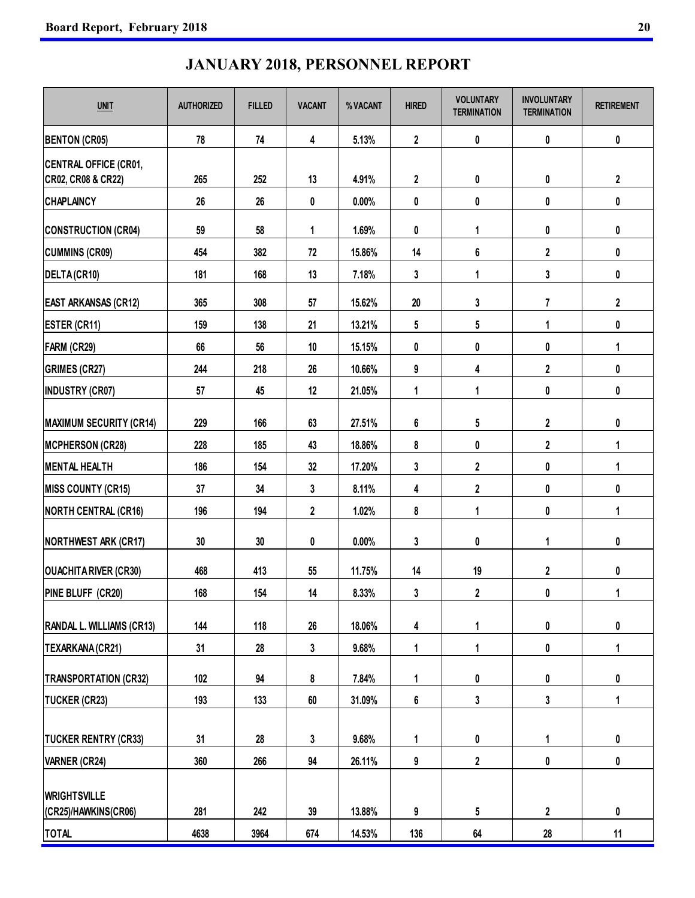## **JANUARY 2018, PERSONNEL REPORT**

| <b>UNIT</b>                                 | <b>AUTHORIZED</b> | <b>FILLED</b> | <b>VACANT</b>           | % VACANT | <b>HIRED</b>            | <b>VOLUNTARY</b><br><b>TERMINATION</b> | <b>INVOLUNTARY</b><br><b>TERMINATION</b> | <b>RETIREMENT</b>       |
|---------------------------------------------|-------------------|---------------|-------------------------|----------|-------------------------|----------------------------------------|------------------------------------------|-------------------------|
| <b>BENTON (CR05)</b>                        | 78                | 74            | 4                       | 5.13%    | $\overline{\mathbf{2}}$ | 0                                      | 0                                        | 0                       |
| CENTRAL OFFICE (CR01,<br>CR02, CR08 & CR22) | 265               | 252           | 13                      | 4.91%    | $\overline{2}$          | 0                                      | 0                                        | $\overline{\mathbf{2}}$ |
| <b>CHAPLAINCY</b>                           | 26                | 26            | 0                       | 0.00%    | 0                       | 0                                      | 0                                        | 0                       |
| <b>CONSTRUCTION (CR04)</b>                  | 59                | 58            | 1                       | 1.69%    | 0                       | 1                                      | 0                                        | 0                       |
| <b>CUMMINS (CR09)</b>                       | 454               | 382           | 72                      | 15.86%   | 14                      | 6                                      | $\overline{\mathbf{2}}$                  | $\pmb{0}$               |
| DELTA (CR10)                                | 181               | 168           | 13                      | 7.18%    | 3                       | 1                                      | 3                                        | 0                       |
| <b>EAST ARKANSAS (CR12)</b>                 | 365               | 308           | 57                      | 15.62%   | 20                      | 3                                      | $\overline{7}$                           | $\overline{\mathbf{2}}$ |
| <b>ESTER (CR11)</b>                         | 159               | 138           | 21                      | 13.21%   | 5                       | 5                                      | 1                                        | 0                       |
| FARM (CR29)                                 | 66                | 56            | 10                      | 15.15%   | 0                       | 0                                      | 0                                        | 1                       |
| <b>GRIMES (CR27)</b>                        | 244               | 218           | 26                      | 10.66%   | 9                       | 4                                      | $\overline{\mathbf{2}}$                  | 0                       |
| <b>INDUSTRY (CR07)</b>                      | 57                | 45            | 12                      | 21.05%   | 1                       | 1                                      | 0                                        | 0                       |
| <b>MAXIMUM SECURITY (CR14)</b>              | 229               | 166           | 63                      | 27.51%   | 6                       | 5                                      | $\overline{\mathbf{2}}$                  | 0                       |
| <b>MCPHERSON (CR28)</b>                     | 228               | 185           | 43                      | 18.86%   | 8                       | 0                                      | $\overline{2}$                           | 1                       |
| <b>MENTAL HEALTH</b>                        | 186               | 154           | 32                      | 17.20%   | 3                       | 2                                      | 0                                        | $\mathbf{1}$            |
| <b>MISS COUNTY (CR15)</b>                   | 37                | 34            | 3                       | 8.11%    | 4                       | $\overline{\mathbf{2}}$                | 0                                        | 0                       |
| <b>NORTH CENTRAL (CR16)</b>                 | 196               | 194           | $\overline{\mathbf{2}}$ | 1.02%    | 8                       | 1                                      | 0                                        | 1                       |
| <b>NORTHWEST ARK (CR17)</b>                 | 30                | 30            | 0                       | $0.00\%$ | 3                       | 0                                      | 1                                        | 0                       |
| <b>OUACHITA RIVER (CR30)</b>                | 468               | 413           | 55                      | 11.75%   | 14                      | 19                                     | $\overline{\mathbf{2}}$                  | 0                       |
| PINE BLUFF (CR20)                           | 168               | 154           | 14                      | 8.33%    | $\mathbf 3$             | $\overline{2}$                         | $\pmb{0}$                                | $\mathbf{1}$            |
| <b>RANDAL L. WILLIAMS (CR13)</b>            | 144               | 118           | 26                      | 18.06%   | 4                       | 1                                      | $\pmb{0}$                                | 0                       |
| TEXARKANA (CR21)                            | 31                | 28            | 3                       | 9.68%    | 1                       | 1                                      | $\pmb{0}$                                | 1                       |
| <b>TRANSPORTATION (CR32)</b>                | 102               | 94            | 8                       | 7.84%    | 1                       | 0                                      | 0                                        | 0                       |
| <b>TUCKER (CR23)</b>                        | 193               | 133           | 60                      | 31.09%   | 6                       | 3                                      | $\mathbf{3}$                             | 1                       |
|                                             |                   |               |                         |          |                         |                                        |                                          |                         |
| <b>TUCKER RENTRY (CR33)</b>                 | 31                | 28            | 3                       | 9.68%    | 1                       | 0                                      | 1                                        | 0                       |
| <b>VARNER (CR24)</b>                        | 360               | 266           | 94                      | 26.11%   | $\pmb{9}$               | $\boldsymbol{2}$                       | $\pmb{0}$                                | 0                       |
| <b>WRIGHTSVILLE</b>                         |                   |               |                         |          |                         |                                        |                                          |                         |
| (CR25)/HAWKINS(CR06)                        | 281               | 242           | 39                      | 13.88%   | 9                       | 5                                      | $\overline{\mathbf{2}}$                  | 0                       |
| TOTAL                                       | 4638              | 3964          | 674                     | 14.53%   | 136                     | 64                                     | 28                                       | 11                      |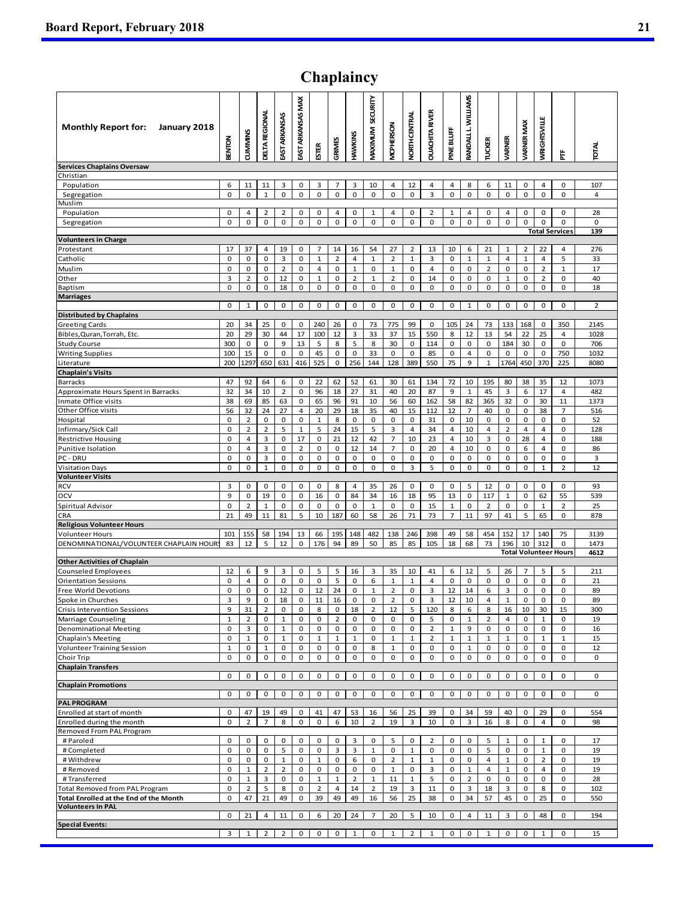#### SECURITY **WILLIAMS RANDALL L. WILLIAMS EAST ARKANSAS MAX EASTARKANSASMAX MAXIMUM SECURITY JUACHITA RIVER DELTA REGIONAL DELTAREGIONAL OUACHITARIVER** EAST ARKANSAS **JORTH CENTRAL NORTHCENTRAL EASTARKANSAS** VRIGHTSVILLE **ARNER MAX WRIGHTSVILLE VARNERMAX Monthly Report for: January 2018 ACPHERSON MCPHERSON** MAXIMUM **RANDALL CUMMINS** PINE BLUFF **PINEBLUFF CUMMINS** HAWKINS **HAWKINS BENTON TUCKER VARNER GRIMES ESTER TOTAL PTF Services Chaplains Oversaw** Christian Population 6 11 11 3 0 3 7 3 10 4 12 4 4 8 6 11 0 4 0 107 Segregation 0 0 1 0 0 0 0 0 0 0 0 3 0 0 0 0 0 0 0 4 Muslim Population 0 4 0 4 2 2 0 0 4 0 1 4 0 2 1 4 0 4 0 0 0 28 Segregation 0 0 0 0 0 0 0 0 0 0 0 0 0 0 0 0 0 0 0 0 **Total Services139 Volunteersin Charge** Protestant 17 37 4 19 0 7 14 16 54 27 2 13 10 6 21 1 2 22 4 276 Catholic 0 0 0 3 0 1 2 4 1 2 1 3 0 1 1 4 1 4 5 33 Muslim 0 0 0 0 2 0 4 0 1 0 1 0 4 0 0 2 0 0 2 1 17 Other 3 2 0 12 0 1 0 2 1 2 0 14 0 0 0 1 0 2 0 40 Baptism 0 0 0 18 0 0 0 0 0 0 0 0 0 0 0 0 0 0 0 18 **Marriages** 0 1000000 0 0 0 0 01 0 000 0 2 **Distributed by Chaplains** Greeting Cards 20 20 34 25 0 0 240 26 0 73 775 99 0 105 24 73 133 168 0 350 2145 Bibles,Quran,Torrah, Etc. 20 29 30 44 17 100 12 3 33 37 15 550 8 12 13 54 22 25 4 1028<br>Study Course 300 0 0 9 13 5 8 5 8 30 0 114 0 0 0 184 30 0 0 1706 Study Course 300 0 0 9 13 5 8 5 8 30 0 114 0 0 0 184 30 0 0 706 Writing Supplies 100 15 0 0 0 45 0 0 33 0 0 85 0 4 0 0 0 0 750 1032 Literature 200 1297 650 631 416 525 0 256 144 128 389 550 75 9 1 1764 450 370 225 8080 **Chaplain's Visits** Barracks 47 92 64 6 0 22 62 52 61 30 61 134 72 10 195 80 38 35 12 1073 Approximate Hours Spent in Barracks 32 34 10 2 0 96 18 27 31 40 20 87 9 1 45 3 6 17 4 482<br>Inmate Office visits 30 11 1373 100 Inmate Office visits 38 69 85 63 0 65 96 91 10 56 60 162 58 82 365 32 0 30 11 1373<br>
26 0 162 58 92 365 32 0 30 11 1373 Other Office visits **56 32 24 27 4 20 29 18 35 40 15 112 12 7 40 0 0 38 7 516** Hospital 0 2 0 0 0 1 8 0 0 0 0 31 0 10 0 0 0 0 0 52 Infirmary/Sick Call 0 2 2 5 1 5 24 15 5 3 4 34 4 10 4 2 4 4 0 128 Restrictive Housing 20 20 20 20 20 20 20 20 20 21 22 22 23 24 26 27 20 21 22 23 24 26 27 20 21 22 23 24 26 27 2 Punitive Isolation 0 4 3 0 2 0 0 12 14 7 0 20 4 10 0 0 6 4 0 86 PC ‐ DRU 0 0 3 0 0 0 0 0 0 0 0 0 0 0 0 0 0 0 0 3 Visitation Days 0 0 1 0 0 0 0 0 0 0 3 5 0 0 0 0 0 1 2 12 **Volunteer Visits** RCV 3 0 0 0 0 0 0 8 4 35 26 0 0 0 5 12 0 0 0 0 0 33 OCV 9 0 19 0 19 0 0 16 0 84 34 16 18 95 13 0 117 1 0 62 55 539 Spiritual Advisor<br>
21 49 11 81 5 10 187 60 58 26 71 73 7 11 97 41 5 65 0 878 CRA 21 49 11 81 5 10 187 60 58 26 71 73 7 11 97 41 5 65 0 878 **Religious Volunteer Hours** Volunteer Hours 1001 155 101 | 155 | 58 | 194 | 13 | 66 | 195 | 148 | 482 | 138 | 246 | 398 | 49 | 58 | 454 | 152 | 17 | 140 | 75 | 3139 DENOMINATIONAL/VOLUNTEER CHAPLAIN HOURS 83 12 5 12 0 176 94 89 50 85 85 105 18 68 73 196 10 312 0 1473 **Total Volunteer Hours 4612 Other Activities of Chaplain** Counseled Employees 211 | 12 | 6 | 9 | 3 | 0 | 5 | 5 | 16 | 3 | 35 | 10 | 41 | 6 | 12 | 5 | 26 | 7 | 5 | 5 | 211 Orientation Sessions 0 4 0 0 0 0 5 0 6 1 1 4 0 0 0 0 0 0 0 0 1 21<br>Free World Devotions 0 0 0 0 12 0 12 24 0 1 2 0 3 12 14 6 3 0 0 0 0 89 Free World Devotions | 0 | 0 | 0 | 12 | 0 | 12 | 24 | 0 | 1 | 2 | 0 | 3 | 12 | 14 | 6 | 3 | 0 | 0 | 0 | 89 Spoke in Churches 3 9 0 18 0 11 16 0 0 2 0 3 12 10 4 1 0 0 0 89 Crisis Intervention Sessions 9 31 2 0 0 8 0 18 2 12 5 120 8 6 8 16 10 30 15 300<br>Marriage Counseling 1 2 0 1 0 0 2 0 0 0 0 5 0 1 2 4 0 1 0 19 Marriage Counseling 1 2 0 1 0 0 2 0 0 0 0 5 0 1 2 4 0 1 0 19 Denominational Meeting Chaplain's Meeting 0 1 0 1 0 1 1 1 0 1 1 2 1 1 1 1 0 1 1 15 Volunteer Training Session 1 0 1 0 0 0 0 0 8 1 0 0 0 1 0 0 0 0 0 12 Choir Trip 0 0 0 0 0 0 0 0 0 0 0 0 0 0 0 0 0 0 0 0 **Chaplain Transfers** 0 0000000 0 0 0 0 00 0 000 0 0 **Chaplain Promotions** 0 0000000 0 0 0 0 00 0 000 0 0 **PAL PROGRAM** Enrolled atstart of month 0 47 19 49 0 41 47 53 16 56 25 39 0 34 59 40 0 29 0 554 Enrolled during the month 0 2 7 8 0 0 6 10 2 19 3 10 0 3 16 8 0 4 0 98 Removed From PAL Program #Paroled | 0 0 0 0 0 0 0 0 0 0 3 0 5 0 2 0 0 5 1 0 1 0 1 0 17 # Completed 0 0 0 5 0 0 3 3 1 0 1 0 0 0 5 0 0 1 0 19 #Withdrew 0 0 0 0 1 0 1 0 6 0 2 1 1 0 0 4 1 0 2 0 19 #Removed 0 1 2 2 0 0 0 0 0 1 0 3 0 1 4 1 0 4 0 19 #Transferred 0 1 3 0 0 1 1 2 1 1 1 5 0 2 0 0 0 0 0 2 28 Total Removed from PAL Program 0 2 5 8 0 2 4 14 2 19 3 11 0 3 18 3 0 8 0 102 **Total Enrolled at the End of the Month** 0 47 21 49 0 39 49 49 16 56 25 38 0 34 57 45 0 25 0 550 **Volunteers In PAL** 0 21 4 11 0 6 20 24 7 20 5 10 0 4 11 3 0 48 0 194 **Special Events:**

1 2 2 0 0 0 1 0 1 2 1 0 0 1 0 1 0 1 0 1

### **Chaplaincy**